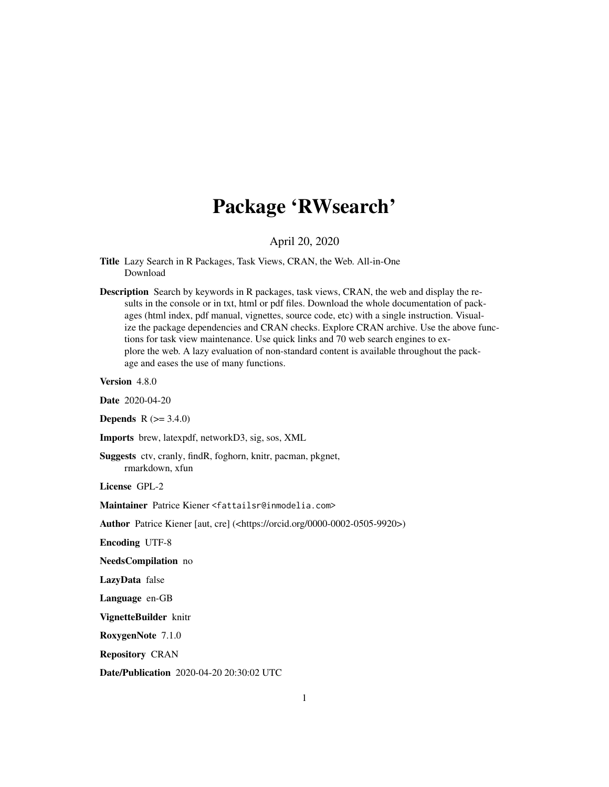# Package 'RWsearch'

April 20, 2020

<span id="page-0-0"></span>Title Lazy Search in R Packages, Task Views, CRAN, the Web. All-in-One Download

Description Search by keywords in R packages, task views, CRAN, the web and display the results in the console or in txt, html or pdf files. Download the whole documentation of packages (html index, pdf manual, vignettes, source code, etc) with a single instruction. Visualize the package dependencies and CRAN checks. Explore CRAN archive. Use the above functions for task view maintenance. Use quick links and 70 web search engines to explore the web. A lazy evaluation of non-standard content is available throughout the package and eases the use of many functions.

Version 4.8.0

Date 2020-04-20

**Depends**  $R$  ( $> = 3.4.0$ )

Imports brew, latexpdf, networkD3, sig, sos, XML

Suggests ctv, cranly, findR, foghorn, knitr, pacman, pkgnet, rmarkdown, xfun

License GPL-2

Maintainer Patrice Kiener <fattailsr@inmodelia.com>

Author Patrice Kiener [aut, cre] (<https://orcid.org/0000-0002-0505-9920>)

Encoding UTF-8

NeedsCompilation no

LazyData false

Language en-GB

VignetteBuilder knitr

RoxygenNote 7.1.0

Repository CRAN

Date/Publication 2020-04-20 20:30:02 UTC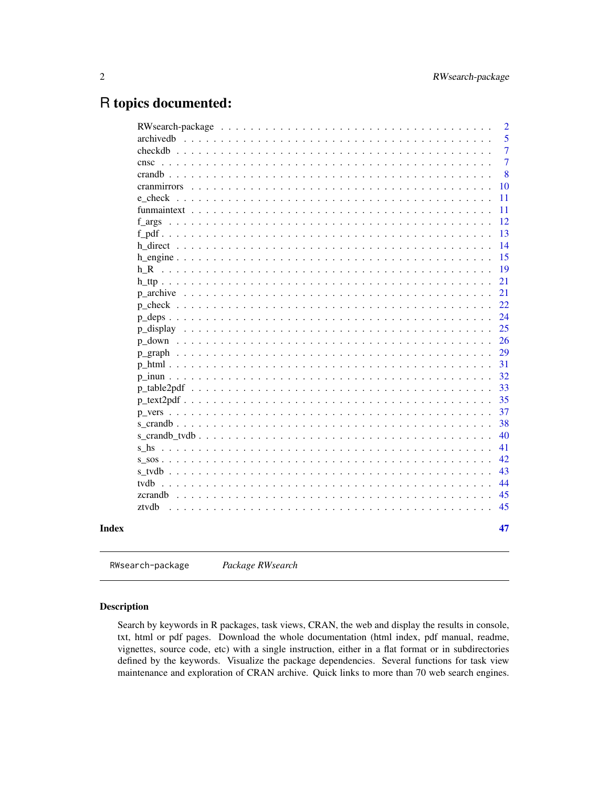# <span id="page-1-0"></span>R topics documented:

| cranmirrors<br>e check | 5<br>$\overline{7}$<br>$\overline{7}$<br>8<br>10<br>11<br>11<br>12<br>13<br>14<br>15<br>19<br>21 |
|------------------------|--------------------------------------------------------------------------------------------------|
|                        |                                                                                                  |
|                        |                                                                                                  |
|                        |                                                                                                  |
|                        |                                                                                                  |
|                        |                                                                                                  |
|                        |                                                                                                  |
|                        |                                                                                                  |
|                        |                                                                                                  |
|                        |                                                                                                  |
|                        |                                                                                                  |
|                        |                                                                                                  |
|                        |                                                                                                  |
|                        |                                                                                                  |
|                        | 21                                                                                               |
|                        | 22                                                                                               |
|                        | 24                                                                                               |
|                        | 25                                                                                               |
|                        | 26                                                                                               |
|                        | 29                                                                                               |
|                        | 31                                                                                               |
|                        | 32                                                                                               |
|                        | 33                                                                                               |
|                        | 35                                                                                               |
|                        | 37                                                                                               |
|                        | 38                                                                                               |
|                        | 40                                                                                               |
|                        | 41                                                                                               |
|                        | 42                                                                                               |
|                        | 43                                                                                               |
|                        | 44                                                                                               |
|                        | 45                                                                                               |
| ztydh                  | 45                                                                                               |
|                        | 47                                                                                               |

RWsearch-package *Package RWsearch*

# Description

Search by keywords in R packages, task views, CRAN, the web and display the results in console, txt, html or pdf pages. Download the whole documentation (html index, pdf manual, readme, vignettes, source code, etc) with a single instruction, either in a flat format or in subdirectories defined by the keywords. Visualize the package dependencies. Several functions for task view maintenance and exploration of CRAN archive. Quick links to more than 70 web search engines.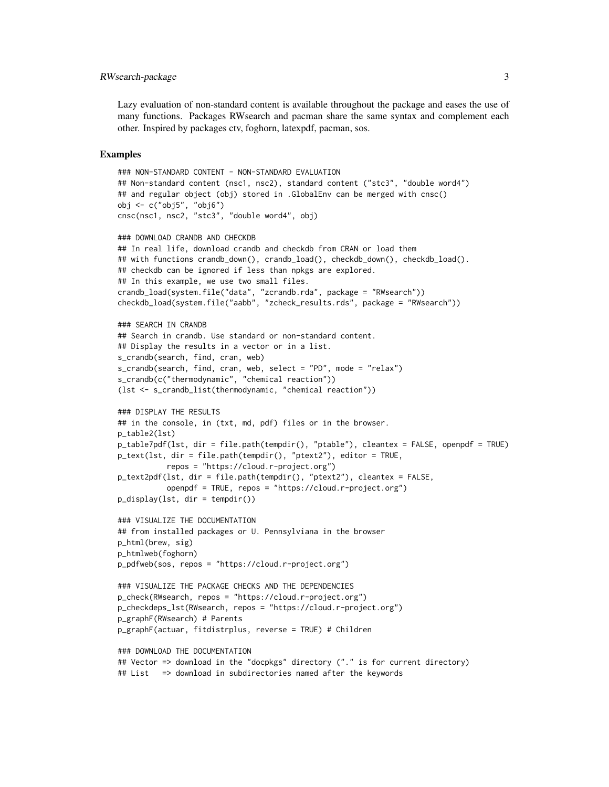#### RWsearch-package 3

Lazy evaluation of non-standard content is available throughout the package and eases the use of many functions. Packages RWsearch and pacman share the same syntax and complement each other. Inspired by packages ctv, foghorn, latexpdf, pacman, sos.

#### Examples

```
### NON-STANDARD CONTENT - NON-STANDARD EVALUATION
## Non-standard content (nsc1, nsc2), standard content ("stc3", "double word4")
## and regular object (obj) stored in .GlobalEnv can be merged with cnsc()
obj <- c("obj5", "obj6")
cnsc(nsc1, nsc2, "stc3", "double word4", obj)
### DOWNLOAD CRANDB AND CHECKDB
## In real life, download crandb and checkdb from CRAN or load them
## with functions crandb_down(), crandb_load(), checkdb_down(), checkdb_load().
## checkdb can be ignored if less than npkgs are explored.
## In this example, we use two small files.
crandb_load(system.file("data", "zcrandb.rda", package = "RWsearch"))
checkdb_load(system.file("aabb", "zcheck_results.rds", package = "RWsearch"))
### SEARCH IN CRANDB
## Search in crandb. Use standard or non-standard content.
## Display the results in a vector or in a list.
s_crandb(search, find, cran, web)
s_crandb(search, find, cran, web, select = "PD", mode = "relax")
s_crandb(c("thermodynamic", "chemical reaction"))
(lst <- s_crandb_list(thermodynamic, "chemical reaction"))
### DISPLAY THE RESULTS
## in the console, in (txt, md, pdf) files or in the browser.
p_table2(lst)
p_table7pdf(lst, dir = file.path(tempdir(), "ptable"), cleantex = FALSE, openpdf = TRUE)
p_text(lst, dir = file.path(tempdir(), "ptext2"), editor = TRUE,
           repos = "https://cloud.r-project.org")
p_text2pdf(lst, dir = file.path(tempdir(), "ptext2"), cleantex = FALSE,
           openpdf = TRUE, repos = "https://cloud.r-project.org")
p_display(lst, dir = tempdir())
### VISUALIZE THE DOCUMENTATION
## from installed packages or U. Pennsylviana in the browser
p_html(brew, sig)
p_htmlweb(foghorn)
p_pdfweb(sos, repos = "https://cloud.r-project.org")
### VISUALIZE THE PACKAGE CHECKS AND THE DEPENDENCIES
p_check(RWsearch, repos = "https://cloud.r-project.org")
p_checkdeps_lst(RWsearch, repos = "https://cloud.r-project.org")
p_graphF(RWsearch) # Parents
p_graphF(actuar, fitdistrplus, reverse = TRUE) # Children
### DOWNLOAD THE DOCUMENTATION
## Vector => download in the "docpkgs" directory ("." is for current directory)
```
## List => download in subdirectories named after the keywords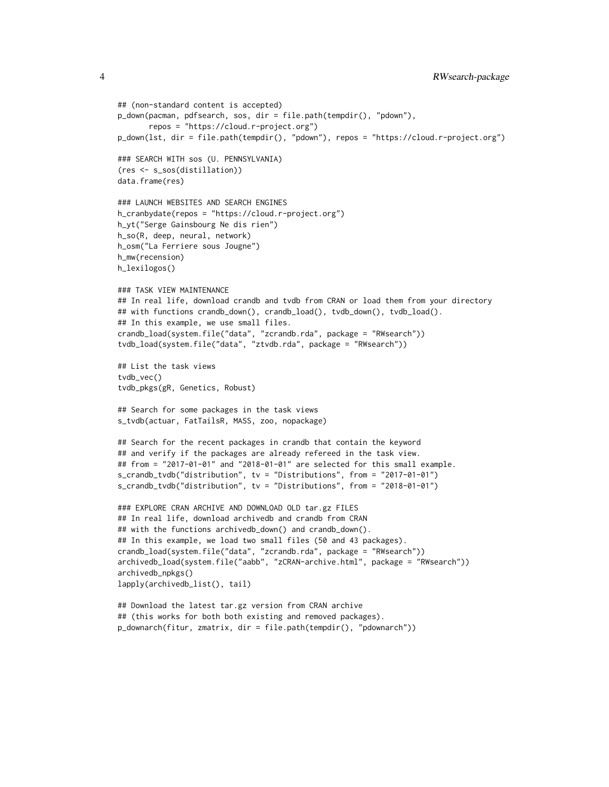```
## (non-standard content is accepted)
p_down(pacman, pdfsearch, sos, dir = file.path(tempdir(), "pdown"),
      repos = "https://cloud.r-project.org")
p_down(lst, dir = file.path(tempdir(), "pdown"), repos = "https://cloud.r-project.org")
### SEARCH WITH sos (U. PENNSYLVANIA)
(res <- s_sos(distillation))
data.frame(res)
### LAUNCH WEBSITES AND SEARCH ENGINES
h_cranbydate(repos = "https://cloud.r-project.org")
h_yt("Serge Gainsbourg Ne dis rien")
h_so(R, deep, neural, network)
h_osm("La Ferriere sous Jougne")
h_mw(recension)
h_lexilogos()
### TASK VIEW MAINTENANCE
## In real life, download crandb and tvdb from CRAN or load them from your directory
## with functions crandb_down(), crandb_load(), tvdb_down(), tvdb_load().
## In this example, we use small files.
crandb_load(system.file("data", "zcrandb.rda", package = "RWsearch"))
tvdb_load(system.file("data", "ztvdb.rda", package = "RWsearch"))
## List the task views
tvdb_vec()
tvdb_pkgs(gR, Genetics, Robust)
## Search for some packages in the task views
s_tvdb(actuar, FatTailsR, MASS, zoo, nopackage)
## Search for the recent packages in crandb that contain the keyword
## and verify if the packages are already refereed in the task view.
## from = "2017-01-01" and "2018-01-01" are selected for this small example.
s_crandb_tvdb("distribution", tv = "Distributions", from = "2017-01-01")
s_crandb_tvdb("distribution", tv = "Distributions", from = "2018-01-01")
### EXPLORE CRAN ARCHIVE AND DOWNLOAD OLD tar.gz FILES
## In real life, download archivedb and crandb from CRAN
## with the functions archivedb_down() and crandb_down().
## In this example, we load two small files (50 and 43 packages).
crandb_load(system.file("data", "zcrandb.rda", package = "RWsearch"))
archivedb_load(system.file("aabb", "zCRAN-archive.html", package = "RWsearch"))
archivedb_npkgs()
lapply(archivedb_list(), tail)
## Download the latest tar.gz version from CRAN archive
## (this works for both both existing and removed packages).
```
p\_downarch(fitur, zmatrix, dir = file.path(tempdir(), "pdownarch"))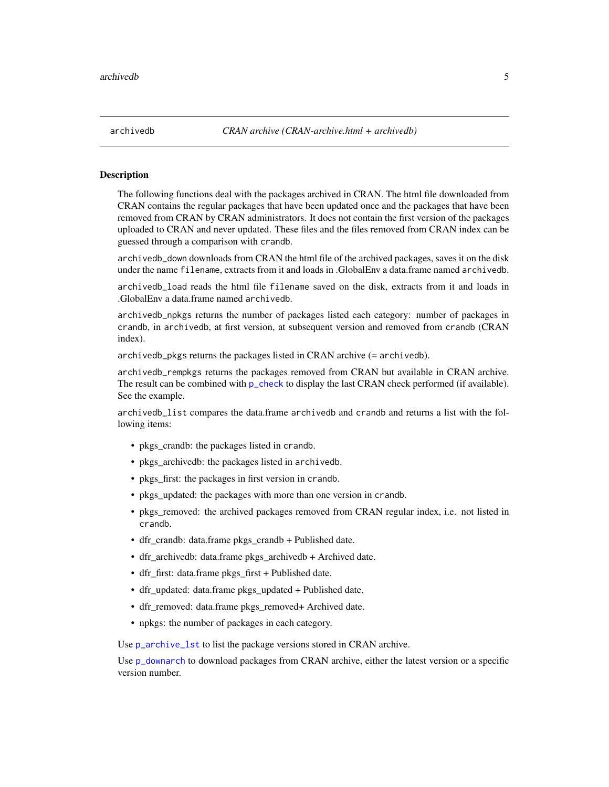<span id="page-4-0"></span>

#### <span id="page-4-1"></span>Description

The following functions deal with the packages archived in CRAN. The html file downloaded from CRAN contains the regular packages that have been updated once and the packages that have been removed from CRAN by CRAN administrators. It does not contain the first version of the packages uploaded to CRAN and never updated. These files and the files removed from CRAN index can be guessed through a comparison with crandb.

archivedb\_down downloads from CRAN the html file of the archived packages, saves it on the disk under the name filename, extracts from it and loads in .GlobalEnv a data.frame named archivedb.

archivedb\_load reads the html file filename saved on the disk, extracts from it and loads in .GlobalEnv a data.frame named archivedb.

archivedb\_npkgs returns the number of packages listed each category: number of packages in crandb, in archivedb, at first version, at subsequent version and removed from crandb (CRAN index).

archivedb\_pkgs returns the packages listed in CRAN archive (= archivedb).

archivedb\_rempkgs returns the packages removed from CRAN but available in CRAN archive. The result can be combined with [p\\_check](#page-21-1) to display the last CRAN check performed (if available). See the example.

archivedb\_list compares the data.frame archivedb and crandb and returns a list with the following items:

- pkgs crandb: the packages listed in crandb.
- pkgs archived b: the packages listed in archived b.
- pkgs\_first: the packages in first version in crandb.
- pkgs updated: the packages with more than one version in crandb.
- pkgs removed: the archived packages removed from CRAN regular index, i.e. not listed in crandb.
- dfr\_crandb: data.frame pkgs\_crandb + Published date.
- dfr\_archivedb: data.frame pkgs\_archivedb + Archived date.
- dfr\_first: data.frame pkgs\_first + Published date.
- dfr\_updated: data.frame pkgs\_updated + Published date.
- dfr\_removed: data.frame pkgs\_removed+ Archived date.
- npkgs: the number of packages in each category.

Use p\_archive\_1st to list the package versions stored in CRAN archive.

Use [p\\_downarch](#page-25-1) to download packages from CRAN archive, either the latest version or a specific version number.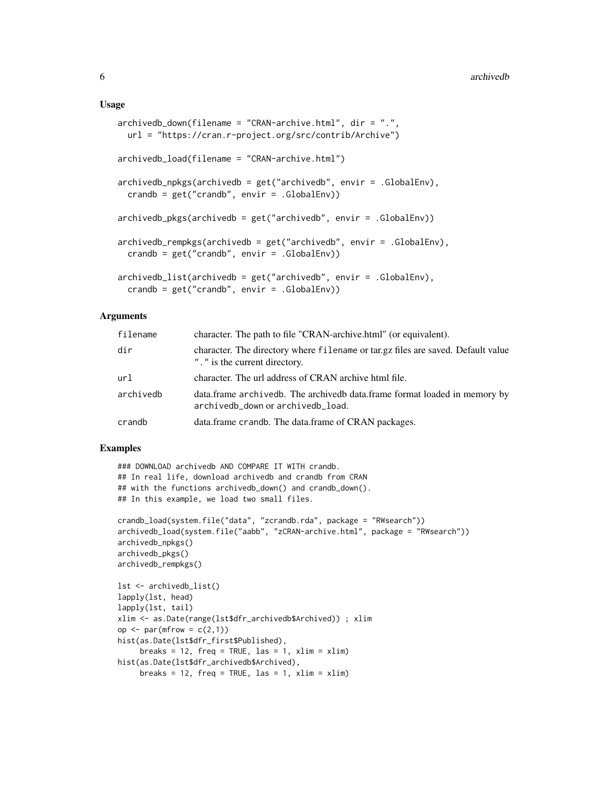#### Usage

```
archivedb_down(filename = "CRAN-archive.html", dir = ".",
 url = "https://cran.r-project.org/src/contrib/Archive")
archivedb_load(filename = "CRAN-archive.html")
archivedb_npkgs(archivedb = get("archivedb", envir = .GlobalEnv),
  crandb = get("crandb", envir = .GlobalEnv))
archivedb_pkgs(archivedb = get("archivedb", envir = .GlobalEnv))
archivedb_rempkgs(archivedb = get("archivedb", envir = .GlobalEnv),
 crandb = get("crandb", envir = .GlobalEnv))
archivedb_list(archivedb = get("archivedb", envir = .GlobalEnv),
  crandb = get("crandb", envir = .GlobalEnv))
```
#### Arguments

| filename  | character. The path to file "CRAN-archive.html" (or equivalent).                                                   |  |
|-----------|--------------------------------------------------------------------------------------------------------------------|--|
| dir       | character. The directory where filename or tar.gz files are saved. Default value<br>". " is the current directory. |  |
| url       | character. The url address of CRAN archive html file.                                                              |  |
| archivedb | data.frame archivedb. The archivedb data.frame format loaded in memory by<br>archivedb_down or archivedb_load.     |  |
| crandb    | data.frame crandb. The data.frame of CRAN packages.                                                                |  |

# Examples

```
### DOWNLOAD archivedb AND COMPARE IT WITH crandb.
## In real life, download archivedb and crandb from CRAN
## with the functions archivedb_down() and crandb_down().
## In this example, we load two small files.
crandb_load(system.file("data", "zcrandb.rda", package = "RWsearch"))
archivedb_load(system.file("aabb", "zCRAN-archive.html", package = "RWsearch"))
archivedb_npkgs()
archivedb_pkgs()
archivedb_rempkgs()
lst <- archivedb_list()
lapply(lst, head)
lapply(lst, tail)
xlim <- as.Date(range(lst$dfr_archivedb$Archived)) ; xlim
op \leq par(mfrow = c(2,1))
hist(as.Date(lst$dfr_first$Published),
     breaks = 12, freq = TRUE, las = 1, xlim = xlim)
hist(as.Date(lst$dfr_archivedb$Archived),
     breaks = 12, freq = TRUE, las = 1, xlim = xlim)
```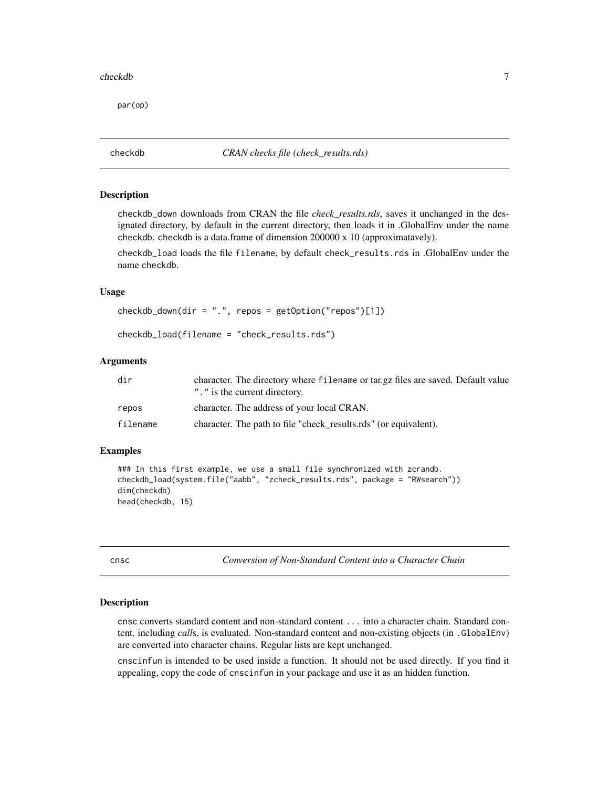#### <span id="page-6-0"></span>checkdb 7

par(op)

checkdb *CRAN checks file (check\_results.rds)*

#### <span id="page-6-2"></span>Description

checkdb\_down downloads from CRAN the file *check\_results.rds*, saves it unchanged in the designated directory, by default in the current directory, then loads it in .GlobalEnv under the name checkdb. checkdb is a data.frame of dimension 200000 x 10 (approximatavely).

checkdb\_load loads the file filename, by default check\_results.rds in .GlobalEnv under the name checkdb.

#### Usage

 $checkdb_down(dir = "."$ , repos =  $getOption("repos")[1])$ 

checkdb\_load(filename = "check\_results.rds")

# Arguments

| dir      | character. The directory where filename or tar.gz files are saved. Default value<br>". " is the current directory. |  |
|----------|--------------------------------------------------------------------------------------------------------------------|--|
| repos    | character. The address of your local CRAN.                                                                         |  |
| filename | character. The path to file "check_results.rds" (or equivalent).                                                   |  |

#### Examples

```
### In this first example, we use a small file synchronized with zcrandb.
checkdb_load(system.file("aabb", "zcheck_results.rds", package = "RWsearch"))
dim(checkdb)
head(checkdb, 15)
```
<span id="page-6-1"></span>cnsc *Conversion of Non-Standard Content into a Character Chain*

#### Description

cnsc converts standard content and non-standard content ... into a character chain. Standard content, including *call*s, is evaluated. Non-standard content and non-existing objects (in .GlobalEnv) are converted into character chains. Regular lists are kept unchanged.

cnscinfun is intended to be used inside a function. It should not be used directly. If you find it appealing, copy the code of cnscinfun in your package and use it as an hidden function.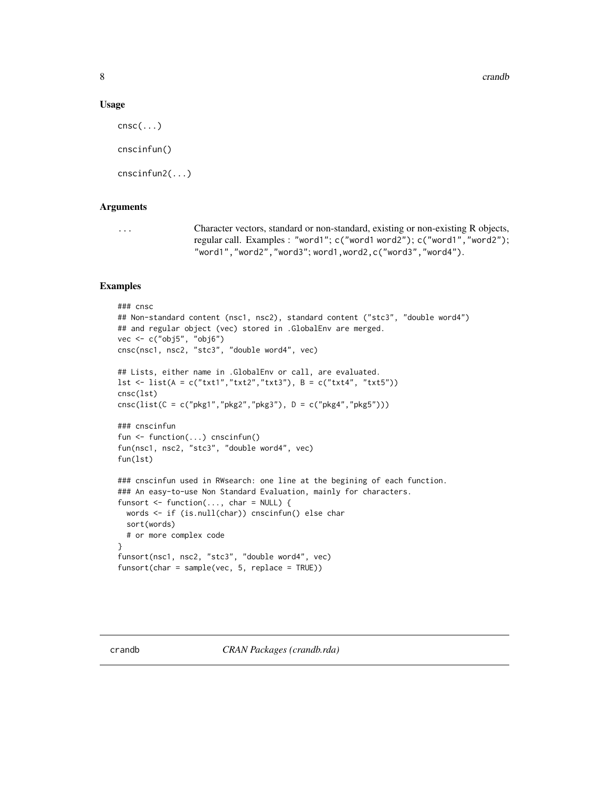8 crandb and the contract of the contract of the contract of the contract of the contract of the contract of the contract of the contract of the contract of the contract of the contract of the contract of the contract of t

#### Usage

```
c n s c (\ldots)cnscinfun()
cnscinfun2(...)
```
### Arguments

... Character vectors, standard or non-standard, existing or non-existing R objects, regular call. Examples : "word1"; c("word1 word2"); c("word1","word2"); "word1","word2","word3"; word1,word2,c("word3","word4").

# Examples

```
### cnsc
## Non-standard content (nsc1, nsc2), standard content ("stc3", "double word4")
## and regular object (vec) stored in .GlobalEnv are merged.
vec <- c("obj5", "obj6")
cnsc(nsc1, nsc2, "stc3", "double word4", vec)
## Lists, either name in .GlobalEnv or call, are evaluated.
lst <- list(A = c("txt1", "txt2", "txt3"), B = c("txt4", "txt5"))cnsc(lst)
cnsc(list(C = c("pkg1","pkg2","pkg3"), D = c("pkg4","pkg5")))
### cnscinfun
fun <- function(...) cnscinfun()
fun(nsc1, nsc2, "stc3", "double word4", vec)
fun(lst)
### cnscinfun used in RWsearch: one line at the begining of each function.
### An easy-to-use Non Standard Evaluation, mainly for characters.
funsort \leq function(..., char = NULL) {
 words <- if (is.null(char)) cnscinfun() else char
 sort(words)
 # or more complex code
}
funsort(nsc1, nsc2, "stc3", "double word4", vec)
funsort(char = sample(vec, 5, replace = TRUE))
```
<span id="page-7-0"></span>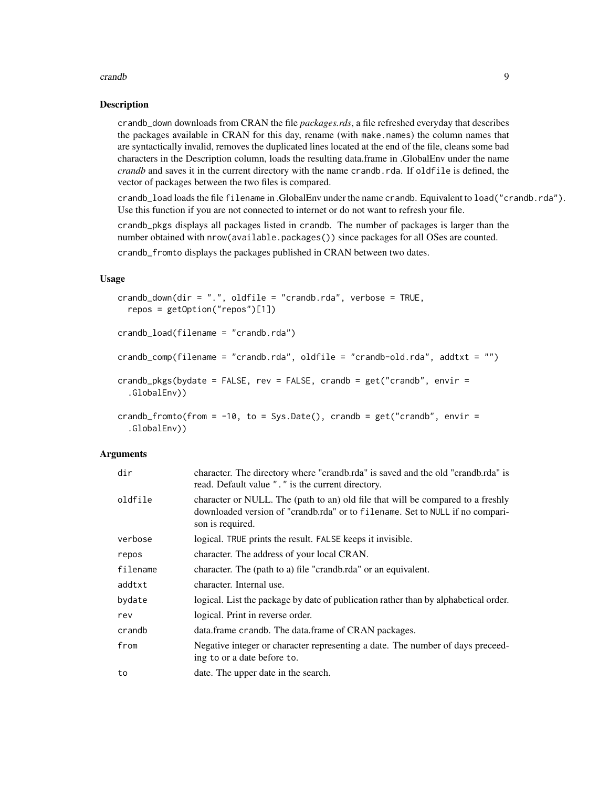#### crandb 9

#### Description

crandb\_down downloads from CRAN the file *packages.rds*, a file refreshed everyday that describes the packages available in CRAN for this day, rename (with make.names) the column names that are syntactically invalid, removes the duplicated lines located at the end of the file, cleans some bad characters in the Description column, loads the resulting data.frame in .GlobalEnv under the name *crandb* and saves it in the current directory with the name crandb.rda. If oldfile is defined, the vector of packages between the two files is compared.

crandb\_load loads the file filename in .GlobalEnv under the name crandb. Equivalent to load("crandb.rda"). Use this function if you are not connected to internet or do not want to refresh your file.

crandb\_pkgs displays all packages listed in crandb. The number of packages is larger than the number obtained with nrow(available.packages()) since packages for all OSes are counted. crandb\_fromto displays the packages published in CRAN between two dates.

#### Usage

```
crandb_down(dir = ".", oldfile = "crandb.rda", verbose = TRUE,
  repos = getOption("repos")[1])
crandb_load(filename = "crandb.rda")
crandb_comp(filename = "crandb.rda", oldfile = "crandb-old.rda", addtxt = "")
crandb_pkgs(bydate = FALSE, rev = FALSE, crandb = get("crandb", envir =.GlobalEnv))
crandb_fromto(from = -10, to = Sys.Date(), crandb = get("crandb", envir =
  .GlobalEnv))
```
#### Arguments

| dir      | character. The directory where "crandb.rda" is saved and the old "crandb.rda" is<br>read. Default value "." is the current directory.                                                |
|----------|--------------------------------------------------------------------------------------------------------------------------------------------------------------------------------------|
| oldfile  | character or NULL. The (path to an) old file that will be compared to a freshly<br>downloaded version of "crandb.rda" or to filename. Set to NULL if no compari-<br>son is required. |
| verbose  | logical. TRUE prints the result. FALSE keeps it invisible.                                                                                                                           |
| repos    | character. The address of your local CRAN.                                                                                                                                           |
| filename | character. The (path to a) file "crandb.rda" or an equivalent.                                                                                                                       |
| addtxt   | character. Internal use.                                                                                                                                                             |
| bydate   | logical. List the package by date of publication rather than by alphabetical order.                                                                                                  |
| rev      | logical. Print in reverse order.                                                                                                                                                     |
| crandb   | data.frame crandb. The data.frame of CRAN packages.                                                                                                                                  |
| from     | Negative integer or character representing a date. The number of days preceed-<br>ing to or a date before to.                                                                        |
| to       | date. The upper date in the search.                                                                                                                                                  |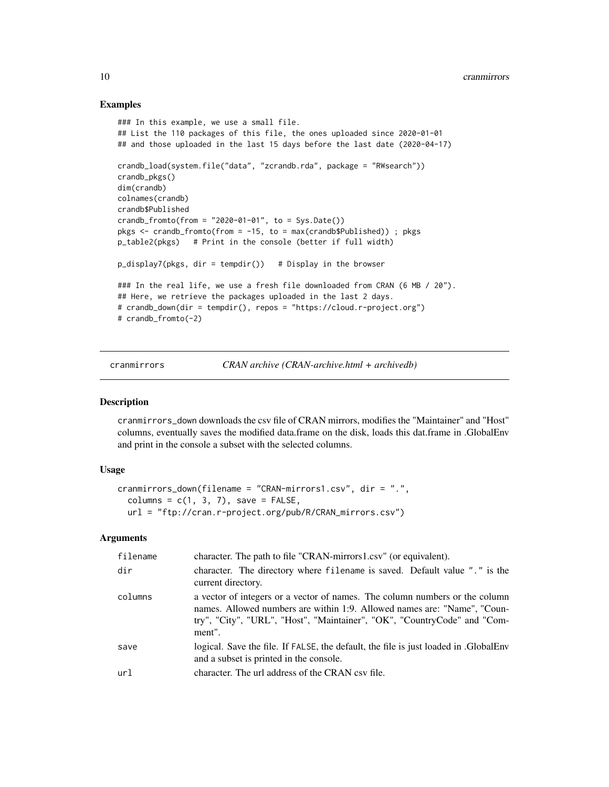#### Examples

```
### In this example, we use a small file.
## List the 110 packages of this file, the ones uploaded since 2020-01-01
## and those uploaded in the last 15 days before the last date (2020-04-17)
crandb_load(system.file("data", "zcrandb.rda", package = "RWsearch"))
crandb_pkgs()
dim(crandb)
colnames(crandb)
crandb$Published
crandb_fromto(from = "2020-01-01", to = Sys.Date())
pkgs <- crandb_fromto(from = -15, to = max(crandb$Published)) ; pkgs
p_table2(pkgs) # Print in the console (better if full width)
p_display7(pkgs, dir = tempdir()) # Display in the browser
### In the real life, we use a fresh file downloaded from CRAN (6 MB / 20").
## Here, we retrieve the packages uploaded in the last 2 days.
# crandb_down(dir = tempdir(), repos = "https://cloud.r-project.org")
# crandb_fromto(-2)
```
cranmirrors *CRAN archive (CRAN-archive.html + archivedb)*

#### Description

cranmirrors\_down downloads the csv file of CRAN mirrors, modifies the "Maintainer" and "Host" columns, eventually saves the modified data.frame on the disk, loads this dat.frame in .GlobalEnv and print in the console a subset with the selected columns.

# Usage

```
cranmirrors_down(filename = "CRAN-mirrors1.csv", dir = ".",
  columns = c(1, 3, 7), save = FALSE,
  url = "ftp://cran.r-project.org/pub/R/CRAN_mirrors.csv")
```
#### Arguments

| filename | character. The path to file "CRAN-mirrors1.csv" (or equivalent).                                                                                                                                                                              |
|----------|-----------------------------------------------------------------------------------------------------------------------------------------------------------------------------------------------------------------------------------------------|
| dir      | character. The directory where filename is saved. Default value "." is the<br>current directory.                                                                                                                                              |
| columns  | a vector of integers or a vector of names. The column numbers or the column<br>names. Allowed numbers are within 1:9. Allowed names are: "Name", "Coun-<br>try", "City", "URL", "Host", "Maintainer", "OK", "CountryCode" and "Com-<br>ment". |
| save     | logical. Save the file. If FALSE, the default, the file is just loaded in GlobalEnv<br>and a subset is printed in the console.                                                                                                                |
| ur1      | character. The url address of the CRAN csv file.                                                                                                                                                                                              |

<span id="page-9-0"></span>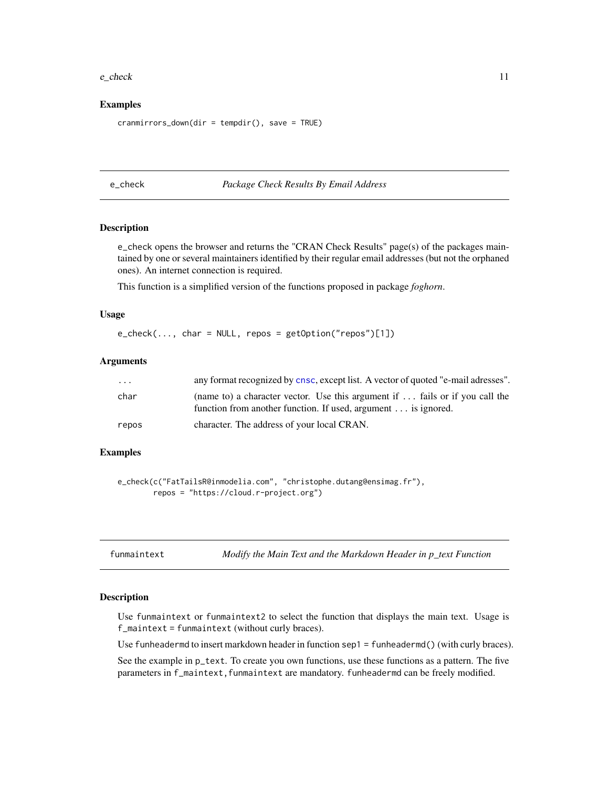#### <span id="page-10-0"></span>e\_check 11

#### Examples

```
cranmirrors_down(dir = tempdir(), save = TRUE)
```
e\_check *Package Check Results By Email Address*

# Description

e\_check opens the browser and returns the "CRAN Check Results" page(s) of the packages maintained by one or several maintainers identified by their regular email addresses (but not the orphaned ones). An internet connection is required.

This function is a simplified version of the functions proposed in package *foghorn*.

#### Usage

e\_check(..., char = NULL, repos = getOption("repos")[1])

#### Arguments

| .     | any format recognized by cnsc, except list. A vector of quoted "e-mail adresses".                                                                     |
|-------|-------------------------------------------------------------------------------------------------------------------------------------------------------|
| char  | (name to) a character vector. Use this argument if  fails or if you call the<br>function from another function. If used, argument $\dots$ is ignored. |
| repos | character. The address of your local CRAN.                                                                                                            |

#### Examples

```
e_check(c("FatTailsR@inmodelia.com", "christophe.dutang@ensimag.fr"),
        repos = "https://cloud.r-project.org")
```

|  | funmaintext |  |  |
|--|-------------|--|--|
|  |             |  |  |
|  |             |  |  |
|  |             |  |  |

*Modify the Main Text and the Markdown Header in p\_text Function* 

#### Description

Use funmaintext or funmaintext2 to select the function that displays the main text. Usage is f\_maintext = funmaintext (without curly braces).

Use funheadermd to insert markdown header in function sep1 = funheadermd() (with curly braces).

See the example in p\_text. To create you own functions, use these functions as a pattern. The five parameters in f\_maintext,funmaintext are mandatory. funheadermd can be freely modified.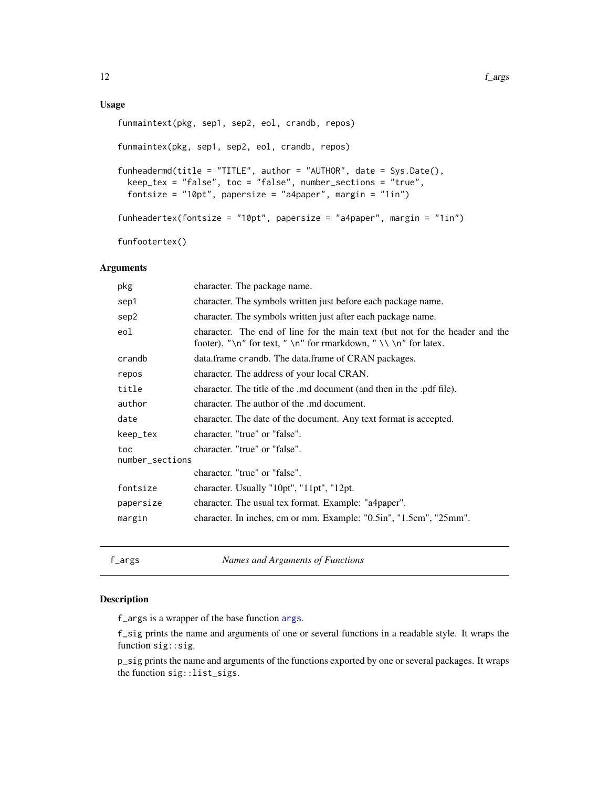# <span id="page-11-0"></span>Usage

```
funmaintext(pkg, sep1, sep2, eol, crandb, repos)
funmaintex(pkg, sep1, sep2, eol, crandb, repos)
funheadermd(title = "TITLE", author = "AUTHOR", date = Sys.Date(),
 keep_tex = "false", toc = "false", number_sections = "true",
 fontsize = "10pt", papersize = "a4paper", margin = "1in")
funheadertex(fontsize = "10pt", papersize = "a4paper", margin = "1in")
funfootertex()
```
# Arguments

| character. The package name.                                                                                                                     |  |  |
|--------------------------------------------------------------------------------------------------------------------------------------------------|--|--|
| character. The symbols written just before each package name.                                                                                    |  |  |
| character. The symbols written just after each package name.                                                                                     |  |  |
| character. The end of line for the main text (but not for the header and the<br>footer). "\n" for text, " \n" for rmarkdown, " \\ \n" for latex. |  |  |
| data.frame crandb. The data.frame of CRAN packages.                                                                                              |  |  |
| character. The address of your local CRAN.                                                                                                       |  |  |
| character. The title of the .md document (and then in the .pdf file).                                                                            |  |  |
| character. The author of the .md document.                                                                                                       |  |  |
| character. The date of the document. Any text format is accepted.                                                                                |  |  |
| character. "true" or "false".                                                                                                                    |  |  |
| character. "true" or "false".<br>number_sections                                                                                                 |  |  |
| character. "true" or "false".                                                                                                                    |  |  |
| character. Usually "10pt", "11pt", "12pt.                                                                                                        |  |  |
| character. The usual tex format. Example: "a4paper".                                                                                             |  |  |
| character. In inches, cm or mm. Example: "0.5in", "1.5cm", "25mm".                                                                               |  |  |
|                                                                                                                                                  |  |  |

f\_args *Names and Arguments of Functions*

#### Description

f\_args is a wrapper of the base function [args](#page-0-0).

f\_sig prints the name and arguments of one or several functions in a readable style. It wraps the function sig::sig.

p\_sig prints the name and arguments of the functions exported by one or several packages. It wraps the function sig::list\_sigs.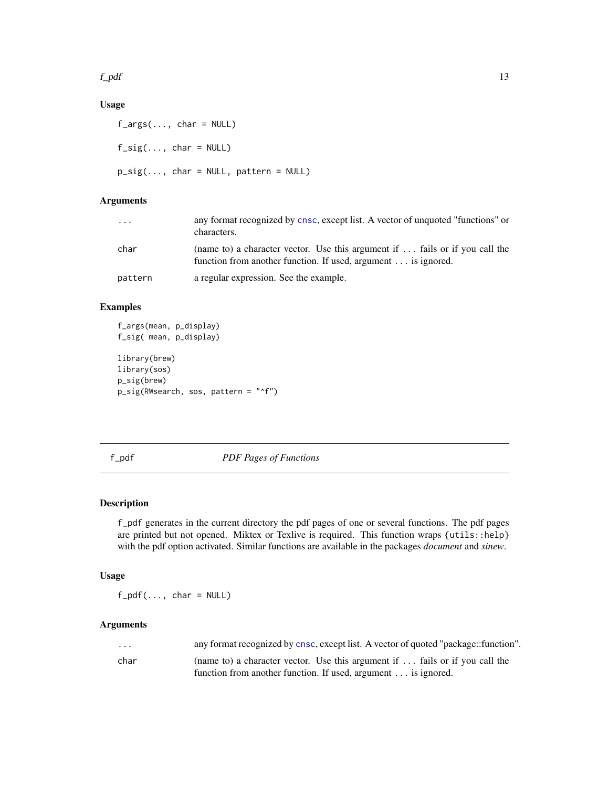<span id="page-12-0"></span>f\_pdf  $\qquad$  13

# Usage

f\_args(..., char = NULL)  $f\_sig(..., char = NULL)$  $p\_sig(..., char = NULL, pattern = NULL)$ 

# Arguments

| $\cdots$ | any format recognized by cnsc, except list. A vector of unquoted "functions" or<br>characters.                                                |
|----------|-----------------------------------------------------------------------------------------------------------------------------------------------|
| char     | (name to) a character vector. Use this argument if  fails or if you call the<br>function from another function. If used, argument is ignored. |
| pattern  | a regular expression. See the example.                                                                                                        |

# Examples

```
f_args(mean, p_display)
f_sig( mean, p_display)
```

```
library(brew)
library(sos)
p_sig(brew)
p_sig(RWsearch, sos, pattern = "^f")
```
f\_pdf *PDF Pages of Functions*

# Description

f\_pdf generates in the current directory the pdf pages of one or several functions. The pdf pages are printed but not opened. Miktex or Texlive is required. This function wraps {utils::help} with the pdf option activated. Similar functions are available in the packages *document* and *sinew*.

# Usage

 $f$ \_pd $f$ (..., char = NULL)

# Arguments

| $\cdot$ | any format recognized by cnsc, except list. A vector of quoted "package::function".  |
|---------|--------------------------------------------------------------------------------------|
| char    | (name to) a character vector. Use this argument if $\ldots$ fails or if you call the |
|         | function from another function. If used, argument $\dots$ is ignored.                |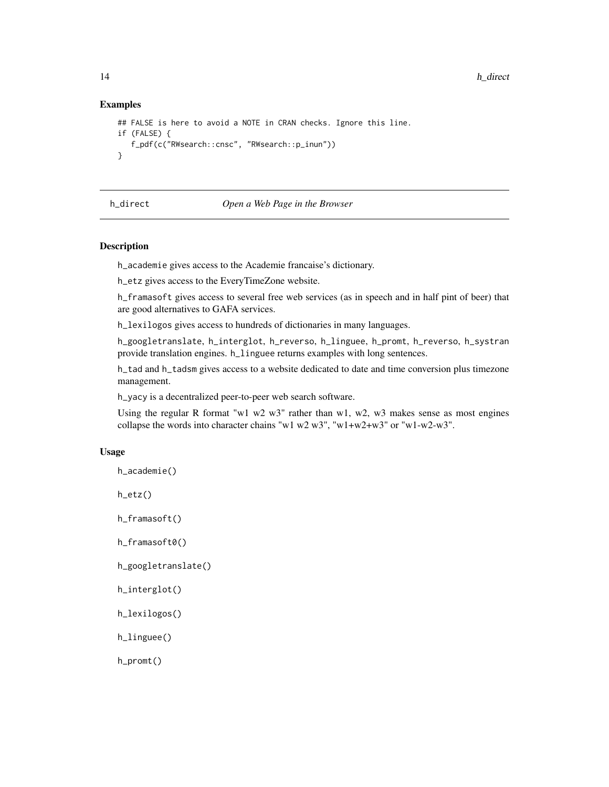#### Examples

```
## FALSE is here to avoid a NOTE in CRAN checks. Ignore this line.
if (FALSE) {
  f_pdf(c("RWsearch::cnsc", "RWsearch::p_inun"))
}
```
#### h\_direct *Open a Web Page in the Browser*

# Description

h\_academie gives access to the Academie francaise's dictionary.

h\_etz gives access to the EveryTimeZone website.

h\_framasoft gives access to several free web services (as in speech and in half pint of beer) that are good alternatives to GAFA services.

h\_lexilogos gives access to hundreds of dictionaries in many languages.

h\_googletranslate, h\_interglot, h\_reverso, h\_linguee, h\_promt, h\_reverso, h\_systran provide translation engines. h\_linguee returns examples with long sentences.

h\_tad and h\_tadsm gives access to a website dedicated to date and time conversion plus timezone management.

h\_yacy is a decentralized peer-to-peer web search software.

Using the regular R format "w1 w2 w3" rather than w1, w2, w3 makes sense as most engines collapse the words into character chains "w1 w2 w3", "w1+w2+w3" or "w1-w2-w3".

#### Usage

```
h_academie()
h_etz()
h_framasoft()
```
h\_framasoft0()

```
h_googletranslate()
```
h\_interglot()

h\_lexilogos()

h\_linguee()

h\_promt()

<span id="page-13-0"></span>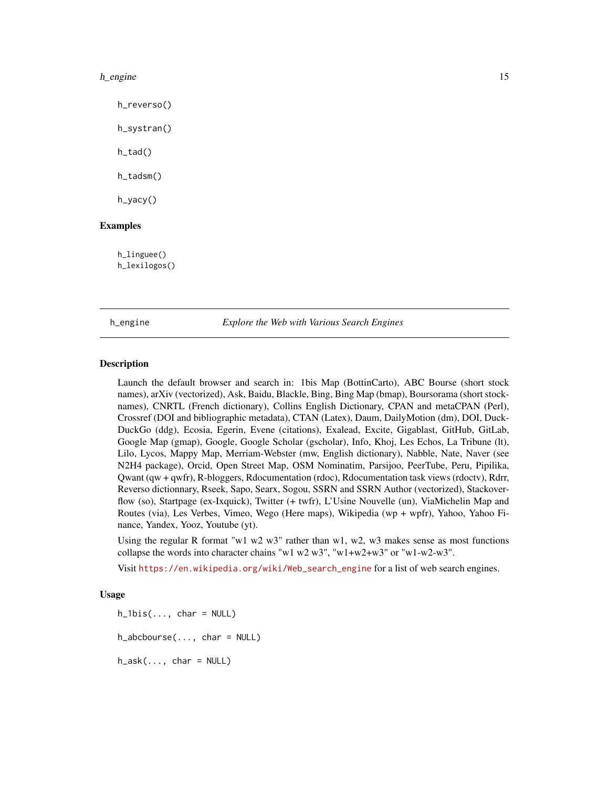<span id="page-14-0"></span>h\_reverso()

h\_systran()

h\_tad()

h\_tadsm()

h\_yacy()

# Examples

h\_linguee() h\_lexilogos()

#### h\_engine *Explore the Web with Various Search Engines*

#### Description

Launch the default browser and search in: 1bis Map (BottinCarto), ABC Bourse (short stock names), arXiv (vectorized), Ask, Baidu, Blackle, Bing, Bing Map (bmap), Boursorama (short stocknames), CNRTL (French dictionary), Collins English Dictionary, CPAN and metaCPAN (Perl), Crossref (DOI and bibliographic metadata), CTAN (Latex), Daum, DailyMotion (dm), DOI, Duck-DuckGo (ddg), Ecosia, Egerin, Evene (citations), Exalead, Excite, Gigablast, GitHub, GitLab, Google Map (gmap), Google, Google Scholar (gscholar), Info, Khoj, Les Echos, La Tribune (lt), Lilo, Lycos, Mappy Map, Merriam-Webster (mw, English dictionary), Nabble, Nate, Naver (see N2H4 package), Orcid, Open Street Map, OSM Nominatim, Parsijoo, PeerTube, Peru, Pipilika, Qwant (qw + qwfr), R-bloggers, Rdocumentation (rdoc), Rdocumentation task views (rdoctv), Rdrr, Reverso dictionnary, Rseek, Sapo, Searx, Sogou, SSRN and SSRN Author (vectorized), Stackoverflow (so), Startpage (ex-Ixquick), Twitter (+ twfr), L'Usine Nouvelle (un), ViaMichelin Map and Routes (via), Les Verbes, Vimeo, Wego (Here maps), Wikipedia (wp + wpfr), Yahoo, Yahoo Finance, Yandex, Yooz, Youtube (yt).

Using the regular R format "w1 w2 w3" rather than w1, w2, w3 makes sense as most functions collapse the words into character chains "w1 w2 w3", "w1+w2+w3" or "w1-w2-w3".

Visit [https://en.wikipedia.org/wiki/Web\\_search\\_engine](https://en.wikipedia.org/wiki/Web_search_engine) for a list of web search engines.

# Usage

 $h_1$ bis $(..., char = NULL)$  $h$ <sub>-abcbourse</sub> $(\ldots, \text{char} = \text{NULL})$ 

 $h\_ask(..., char = NULL)$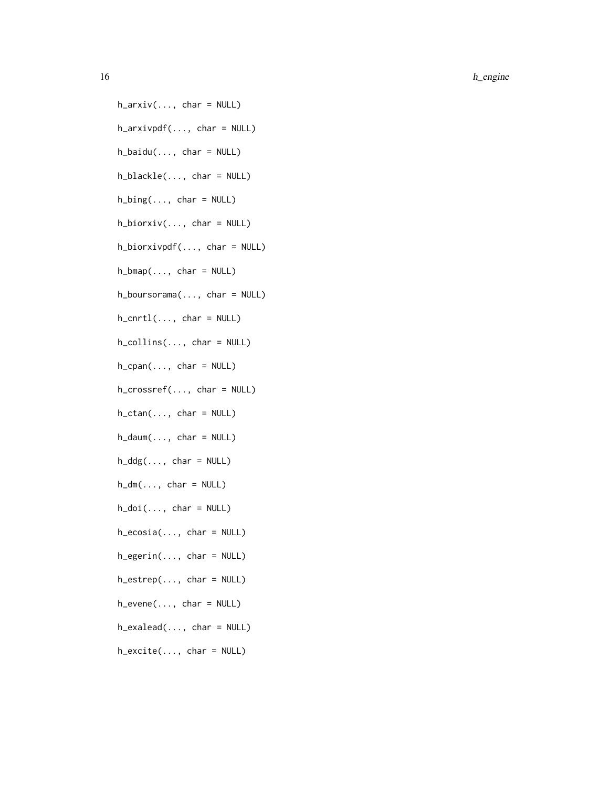$h_$ arxiv $(..., char = NULL)$  $h_$ arxivpdf(..., char = NULL)  $h$ \_baidu $(..., char = NULL)$ h\_blackle(..., char = NULL)  $h_bing(..., char = NULL)$  $h_b$ iorxiv $(..., char = NULL)$ h\_biorxivpdf(..., char = NULL)  $h_b = h_b$  (..., char = NULL) h\_boursorama(..., char = NULL)  $h_{\text{1}}$ cnrt $l(\ldots, \text{char} = \text{NULL})$  $h_{collines}(\ldots, char = NULL)$  $h_c$ cpan $(..., char = NULL)$ h\_crossref(..., char = NULL)  $h_{\text{c}} \text{tan}(\ldots, \text{ char} = \text{NULL})$  $h\_damm(\ldots, char = NULL)$  $h_d dg(..., char = NULL)$  $h_dm(\ldots, char = NULL)$  $h\_doi(...,\text{char} = NULL)$  $h_e\cos i\omega$ ..., char = NULL)  $h_{\text{e}}$ gerin $(..., \text{ char} = \text{NULL})$  $h$ <sup>\_</sup>estrep( $\dots$ , char = NULL)  $h$ <sup>\_</sup>evene $(..., char = NULL)$ h\_exalead(..., char = NULL)  $h$ <sup>\_</sup>excite( $\dots$ , char = NULL)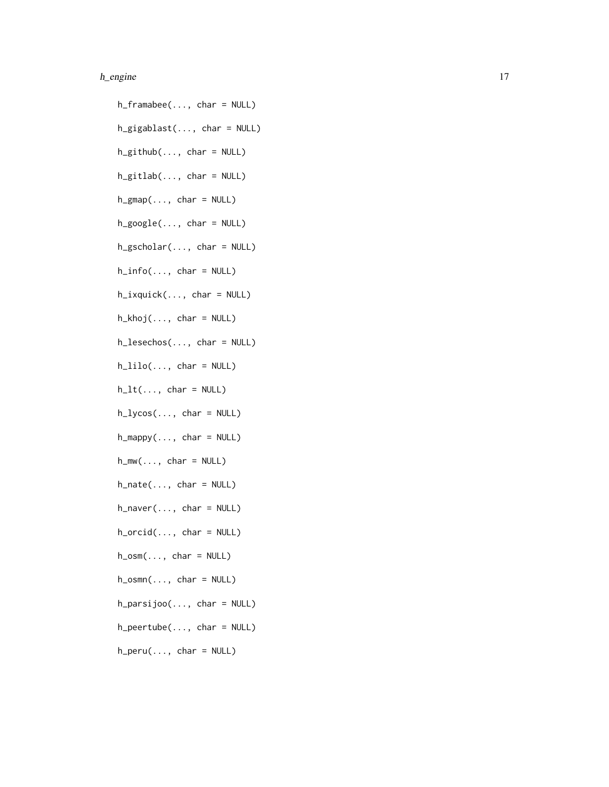h\_gigablast(..., char = NULL) h\_github(..., char = NULL)  $h_g$ itlab $(..., char = NULL)$  $h_{gmap}(\ldots, \text{char} = \text{NULL})$  $h\_google(..., char = NULL)$  $h_g$ scholar $(..., char = NULL)$  $h_info(..., char = NULL)$ h\_ixquick(..., char = NULL)  $h_khoj(..., char = NULL)$ h\_lesechos(..., char = NULL)  $h$ <sub>-</sub>lilo(..., char = NULL)  $h_l(t, \ldots, \text{char} = \text{NULL})$  $h_{\text{1}}y\cos(\ldots, \text{ char} = \text{NULL})$  $h_m$ appy $(..., char = NULL)$  $h_mw(\ldots, char = NULL)$  $h$ <sup>-nate(..., char = NULL)</sup>  $h$ \_naver $(..., char = NULL)$  $h\_orcid(..., char = NULL)$  $h_{\text{cosm}}(\ldots, \text{char} = \text{NULL})$  $h_{\text{cosmn}}(\ldots, \text{char} = \text{NULL})$  $h_{\text{p}}$ arsijoo $(..., \text{ char} = \text{NULL})$ h\_peertube(..., char = NULL)  $h_{peru}(\ldots, char = NULL)$ 

h\_framabee(..., char = NULL)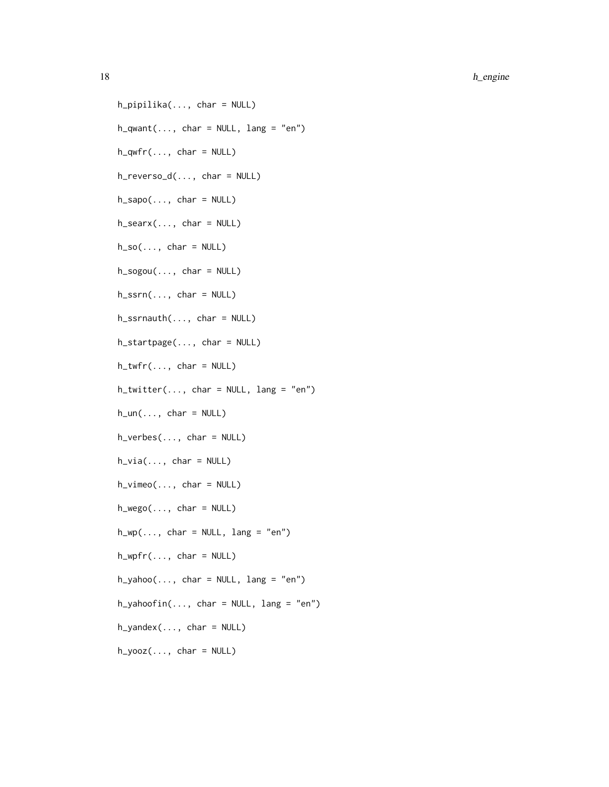h\_pipilika(..., char = NULL)  $h_q$ want $(..., char = NULL, lang = "en")$  $h_qwfr(..., char = NULL)$ h\_reverso\_d(..., char = NULL)  $h$ \_sapo $(..., char = NULL)$  $h$ \_searx $(..., char = NULL)$  $h\_so(..., char = NULL)$  $h_sogou(..., char = NULL)$  $h_{\text{--}}ssrn(\ldots, \text{char} = \text{NULL})$  $h_{\text{Ssmauth}}(...,\text{char} = \text{NULL})$ h\_startpage(..., char = NULL)  $h_twtr(\ldots, char = NULL)$  $h_t$ twitter(..., char = NULL, lang = "en")  $h\_un(..., char = NULL)$  $h_{\text{--}}$ verbes $(\ldots, \text{ char} = \text{NULL})$  $h\_via(..., char = NULL)$  $h_vimeo(..., char = NULL)$  $h_{w} = f(x)$ ..., char =  $NULL$ )  $h_wp(\ldots, char = NULL, lang = "en")$  $h_{wpfr}(\ldots, char = NULL)$  $h_y = \text{h}_y$ ahoo $(..., \text{char} = \text{NULL}, \text{lang} = \text{"en"})$  $h_y = h_y$ ahoofin $(..., \text{char} = \text{NULL}, \text{lang} = \text{"}$  $h_y$ andex $(..., char = NULL)$  $h_yooz(..., char = NULL)$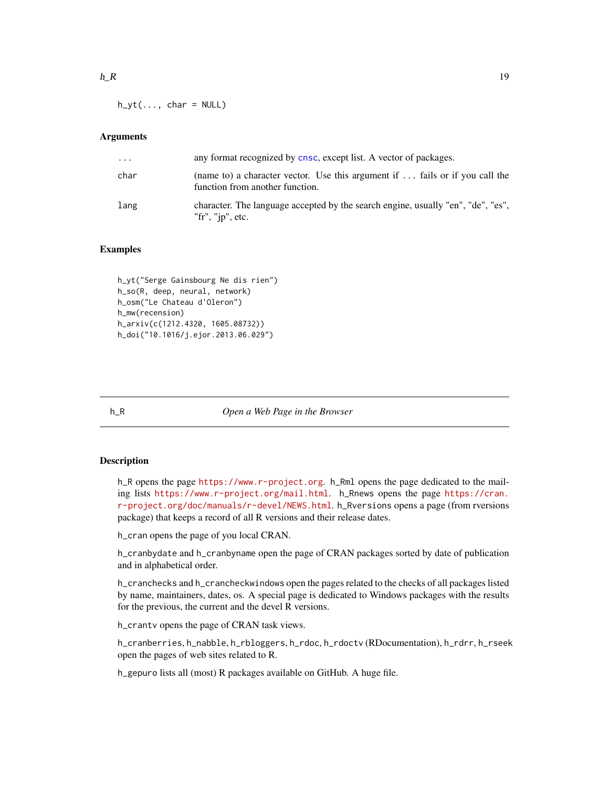<span id="page-18-0"></span> $h_yt(\ldots, \text{char} = \text{NULL})$ 

# **Arguments**

| $\ddotsc$ | any format recognized by cnsc, except list. A vector of packages.                                                       |
|-----------|-------------------------------------------------------------------------------------------------------------------------|
| char      | (name to) a character vector. Use this argument if $\ldots$ fails or if you call the<br>function from another function. |
| lang      | character. The language accepted by the search engine, usually "en", "de", "es",<br>"fr", " $ip$ ", etc.                |

# Examples

h\_yt("Serge Gainsbourg Ne dis rien") h\_so(R, deep, neural, network) h\_osm("Le Chateau d'Oleron") h\_mw(recension) h\_arxiv(c(1212.4320, 1605.08732)) h\_doi("10.1016/j.ejor.2013.06.029")

h\_R *Open a Web Page in the Browser*

#### <span id="page-18-1"></span>Description

h\_R opens the page <https://www.r-project.org>. h\_Rml opens the page dedicated to the mailing lists <https://www.r-project.org/mail.html>. h\_Rnews opens the page [https://cran.](https://cran.r-project.org/doc/manuals/r-devel/NEWS.html) [r-project.org/doc/manuals/r-devel/NEWS.html](https://cran.r-project.org/doc/manuals/r-devel/NEWS.html). h\_Rversions opens a page (from rversions package) that keeps a record of all R versions and their release dates.

h\_cran opens the page of you local CRAN.

h\_cranbydate and h\_cranbyname open the page of CRAN packages sorted by date of publication and in alphabetical order.

h\_cranchecks and h\_crancheckwindows open the pages related to the checks of all packages listed by name, maintainers, dates, os. A special page is dedicated to Windows packages with the results for the previous, the current and the devel R versions.

h\_crantv opens the page of CRAN task views.

h\_cranberries, h\_nabble, h\_rbloggers, h\_rdoc, h\_rdoctv (RDocumentation), h\_rdrr, h\_rseek open the pages of web sites related to R.

h\_gepuro lists all (most) R packages available on GitHub. A huge file.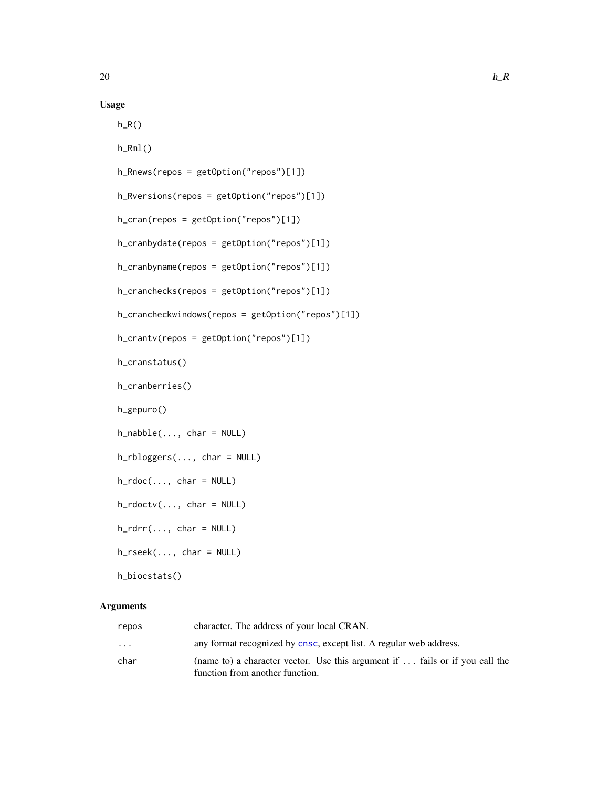# Usage

 $h_R()$ 

h\_Rml()

h\_Rnews(repos = getOption("repos")[1])

h\_Rversions(repos = getOption("repos")[1])

h\_cran(repos = getOption("repos")[1])

```
h_cranbydate(repos = getOption("repos")[1])
```

```
h_cranbyname(repos = getOption("repos")[1])
```

```
h_cranchecks(repos = getOption("repos")[1])
```

```
h_crancheckwindows(repos = getOption("repos")[1])
```

```
h_crantv(repos = getOption("repos")[1])
```
h\_cranstatus()

```
h_cranberries()
```
h\_gepuro()

 $h\_nable(..., char = NULL)$ 

h\_rbloggers(..., char = NULL)

 $h_rvdoc(\ldots, char = NULL)$ 

 $h_rvdotiv(..., char = NULL)$ 

 $h_rdrr(..., char = NULL)$ 

h\_rseek(..., char = NULL)

h\_biocstats()

# Arguments

| repos   | character. The address of your local CRAN.                                          |
|---------|-------------------------------------------------------------------------------------|
| $\cdot$ | any format recognized by cnsc, except list. A regular web address.                  |
| char    | (name to) a character vector. Use this argument if $\dots$ fails or if you call the |
|         | function from another function.                                                     |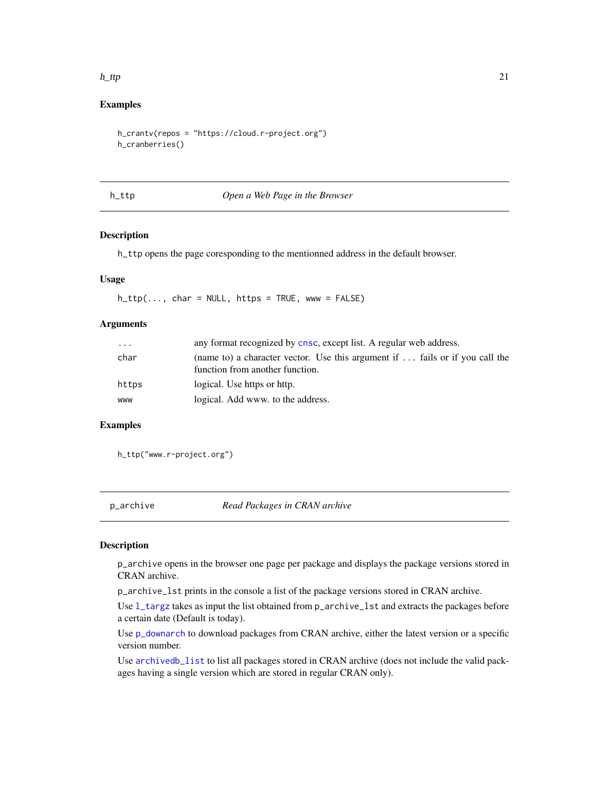#### <span id="page-20-0"></span> $h$ <sub>1</sub> ttp 21

# Examples

```
h_crantv(repos = "https://cloud.r-project.org")
h_cranberries()
```
#### h\_ttp *Open a Web Page in the Browser*

# Description

h\_ttp opens the page coresponding to the mentionned address in the default browser.

# Usage

 $h_ttp(..., char = NULL, https = TRUE, www = FALSE)$ 

# Arguments

| $\cdots$ | any format recognized by cnsc, except list. A regular web address.                                              |
|----------|-----------------------------------------------------------------------------------------------------------------|
| char     | (name to) a character vector. Use this argument if  fails or if you call the<br>function from another function. |
| https    | logical. Use https or http.                                                                                     |
| www      | logical. Add www. to the address.                                                                               |

# Examples

h\_ttp("www.r-project.org")

<span id="page-20-2"></span>p\_archive *Read Packages in CRAN archive*

#### <span id="page-20-1"></span>Description

p\_archive opens in the browser one page per package and displays the package versions stored in CRAN archive.

p\_archive\_lst prints in the console a list of the package versions stored in CRAN archive.

Use [l\\_targz](#page-20-1) takes as input the list obtained from p\_archive\_lst and extracts the packages before a certain date (Default is today).

Use [p\\_downarch](#page-25-1) to download packages from CRAN archive, either the latest version or a specific version number.

Use [archivedb\\_list](#page-4-1) to list all packages stored in CRAN archive (does not include the valid packages having a single version which are stored in regular CRAN only).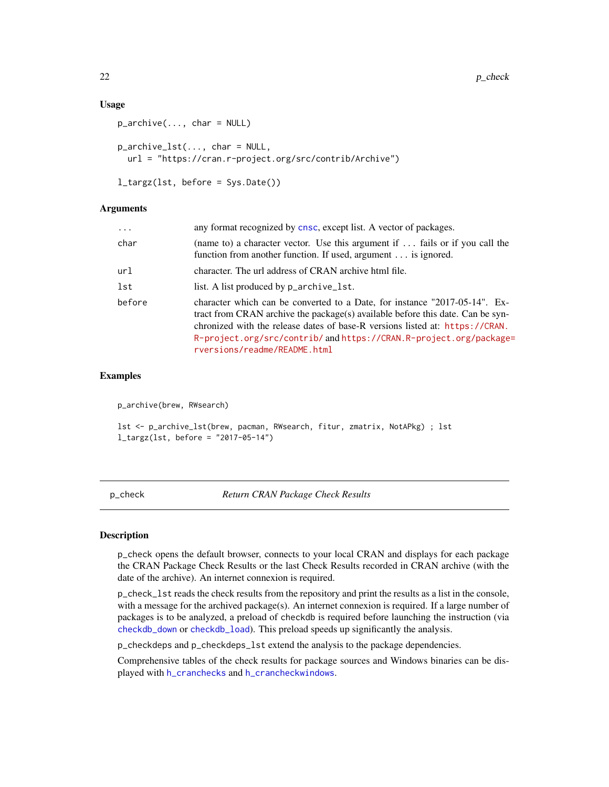#### <span id="page-21-0"></span>Usage

```
p_{\text{}archive(..., char = NULL)}p_archive_lst(..., char = NULL,
  url = "https://cran.r-project.org/src/contrib/Archive")
```

```
l_targz(lst, before = Sys.Date())
```
## **Arguments**

| $\cdots$ | any format recognized by cnsc, except list. A vector of packages.                                                                                                                                                                                                                                                                                  |
|----------|----------------------------------------------------------------------------------------------------------------------------------------------------------------------------------------------------------------------------------------------------------------------------------------------------------------------------------------------------|
| char     | (name to) a character vector. Use this argument if  fails or if you call the<br>function from another function. If used, argument is ignored.                                                                                                                                                                                                      |
| url      | character. The url address of CRAN archive html file.                                                                                                                                                                                                                                                                                              |
| lst      | list. A list produced by p_archive_1st.                                                                                                                                                                                                                                                                                                            |
| before   | character which can be converted to a Date, for instance "2017-05-14". Ex-<br>tract from CRAN archive the package(s) available before this date. Can be syn-<br>chronized with the release dates of base-R versions listed at: https://CRAN.<br>R-project.org/src/contrib/ and https://CRAN.R-project.org/package=<br>rversions/readme/README.html |

# Examples

p\_archive(brew, RWsearch)

lst <- p\_archive\_lst(brew, pacman, RWsearch, fitur, zmatrix, NotAPkg) ; lst l\_targz(lst, before = "2017-05-14")

<span id="page-21-1"></span>p\_check *Return CRAN Package Check Results*

# Description

p\_check opens the default browser, connects to your local CRAN and displays for each package the CRAN Package Check Results or the last Check Results recorded in CRAN archive (with the date of the archive). An internet connexion is required.

p\_check\_lst reads the check results from the repository and print the results as a list in the console, with a message for the archived package(s). An internet connexion is required. If a large number of packages is to be analyzed, a preload of checkdb is required before launching the instruction (via [checkdb\\_down](#page-6-2) or [checkdb\\_load](#page-6-2)). This preload speeds up significantly the analysis.

p\_checkdeps and p\_checkdeps\_lst extend the analysis to the package dependencies.

Comprehensive tables of the check results for package sources and Windows binaries can be displayed with [h\\_cranchecks](#page-18-1) and [h\\_crancheckwindows](#page-18-1).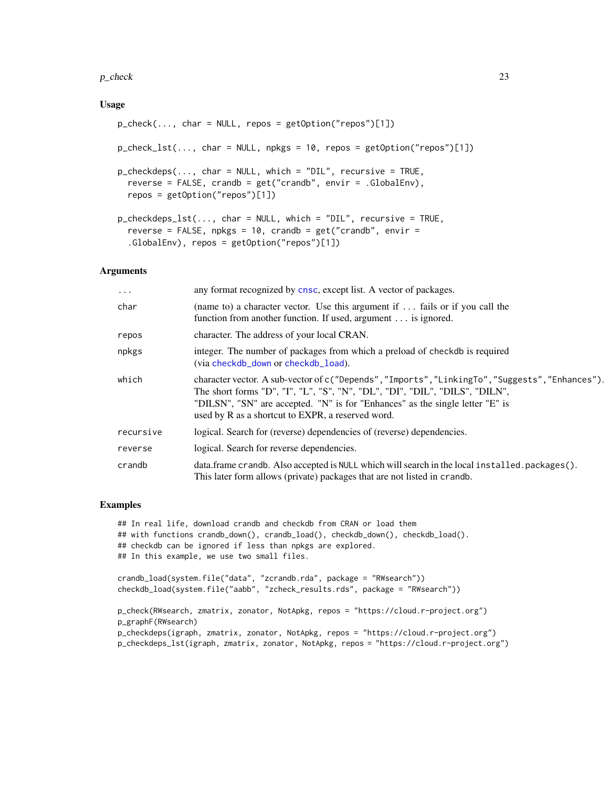#### <span id="page-22-0"></span> $p_{\text{check}}$  23

## Usage

```
p_{\text{check}}(\ldots, \text{char} = \text{NULL}, \text{repos} = \text{getOption}("repos")[1])p_{\text{check\_lst}(\ldots, \text{char} = \text{NULL}, \text{npkgs} = 10, \text{repos} = \text{getOption("repos")[1]})p_checkdeps(..., char = NULL, which = "DIL", recursive = TRUE,
  reverse = FALSE, crandb = get("crandb", envir = .GlobalEnv),
  repos = getOption("repos")[1])
p_checkdeps_lst(..., char = NULL, which = "DIL", recursive = TRUE,
  reverse = FALSE, npkgs = 10, crandb = get("crandb", envir =.GlobalEnv), repos = getOption("repos")[1])
```
#### Arguments

| $\cdots$  | any format recognized by cnsc, except list. A vector of packages.                                                                                                                                                                                                                                                    |
|-----------|----------------------------------------------------------------------------------------------------------------------------------------------------------------------------------------------------------------------------------------------------------------------------------------------------------------------|
| char      | (name to) a character vector. Use this argument if $\ldots$ fails or if you call the<br>function from another function. If used, argument is ignored.                                                                                                                                                                |
| repos     | character. The address of your local CRAN.                                                                                                                                                                                                                                                                           |
| npkgs     | integer. The number of packages from which a preload of checkdb is required<br>(via checkdb_down or checkdb_load).                                                                                                                                                                                                   |
| which     | character vector. A sub-vector of c("Depends", "Imports", "LinkingTo", "Suggests", "Enhances").<br>The short forms "D", "I", "L", "S", "N", "DL", "DI", "DIL", "DILS", "DILN",<br>"DILSN", "SN" are accepted. "N" is for "Enhances" as the single letter "E" is<br>used by R as a shortcut to EXPR, a reserved word. |
| recursive | logical. Search for (reverse) dependencies of (reverse) dependencies.                                                                                                                                                                                                                                                |
| reverse   | logical. Search for reverse dependencies.                                                                                                                                                                                                                                                                            |
| crandb    | data.frame crandb. Also accepted is NULL which will search in the local installed.packages().<br>This later form allows (private) packages that are not listed in crandb.                                                                                                                                            |
|           |                                                                                                                                                                                                                                                                                                                      |

#### Examples

```
## In real life, download crandb and checkdb from CRAN or load them
## with functions crandb_down(), crandb_load(), checkdb_down(), checkdb_load().
## checkdb can be ignored if less than npkgs are explored.
## In this example, we use two small files.
crandb_load(system.file("data", "zcrandb.rda", package = "RWsearch"))
checkdb_load(system.file("aabb", "zcheck_results.rds", package = "RWsearch"))
p_check(RWsearch, zmatrix, zonator, NotApkg, repos = "https://cloud.r-project.org")
p_graphF(RWsearch)
p_checkdeps(igraph, zmatrix, zonator, NotApkg, repos = "https://cloud.r-project.org")
p_checkdeps_lst(igraph, zmatrix, zonator, NotApkg, repos = "https://cloud.r-project.org")
```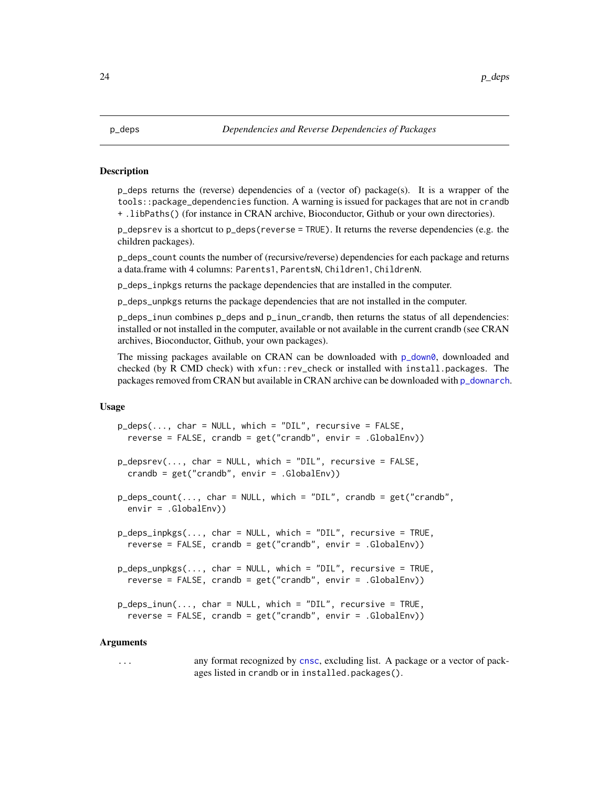#### <span id="page-23-0"></span>**Description**

p\_deps returns the (reverse) dependencies of a (vector of) package(s). It is a wrapper of the tools::package\_dependencies function. A warning is issued for packages that are not in crandb + .libPaths() (for instance in CRAN archive, Bioconductor, Github or your own directories).

p\_depsrev is a shortcut to p\_deps(reverse = TRUE). It returns the reverse dependencies (e.g. the children packages).

p\_deps\_count counts the number of (recursive/reverse) dependencies for each package and returns a data.frame with 4 columns: Parents1, ParentsN, Children1, ChildrenN.

p\_deps\_inpkgs returns the package dependencies that are installed in the computer.

p\_deps\_unpkgs returns the package dependencies that are not installed in the computer.

p\_deps\_inun combines p\_deps and p\_inun\_crandb, then returns the status of all dependencies: installed or not installed in the computer, available or not available in the current crandb (see CRAN archives, Bioconductor, Github, your own packages).

The missing packages available on CRAN can be downloaded with  $p_d$  downloaded and checked (by R CMD check) with xfun::rev\_check or installed with install.packages. The packages removed from CRAN but available in CRAN archive can be downloaded with [p\\_downarch](#page-25-1).

# Usage

```
p\_deps(..., char = NULL, which = "DIL", recursive = FALSE,reverse = FALSE, crandb = get("crandb", envir = .GlobalEnv))
p_{\text{0}} depsrev(..., char = NULL, which = "DIL", recursive = FALSE,
  crandb = get("crandb", envir = .GlobalEnv))
p_{\text{c}} deps_count(..., char = NULL, which = "DIL", crandb = get("crandb",
  envir = .GlobalEnv))
p_deps_inpkgs(..., char = NULL, which = "DIL", recursive = TRUE,
  reverse = FALSE, crandb = get("crandb", envir = .GlobalEnv))
p_deps_unpkgs(..., char = NULL, which = "DIL", recursive = TRUE,
  reverse = FALSE, crandb = get("crandb", envir = .GlobalEnv))
p_{\text{c}} deps_inun(..., char = NULL, which = "DIL", recursive = TRUE,
  reverse = FALSE, crandb = get("crandb", envir = .GlobalEnv))
```
#### Arguments

... any format recognized by [cnsc](#page-6-1), excluding list. A package or a vector of packages listed in crandb or in installed.packages().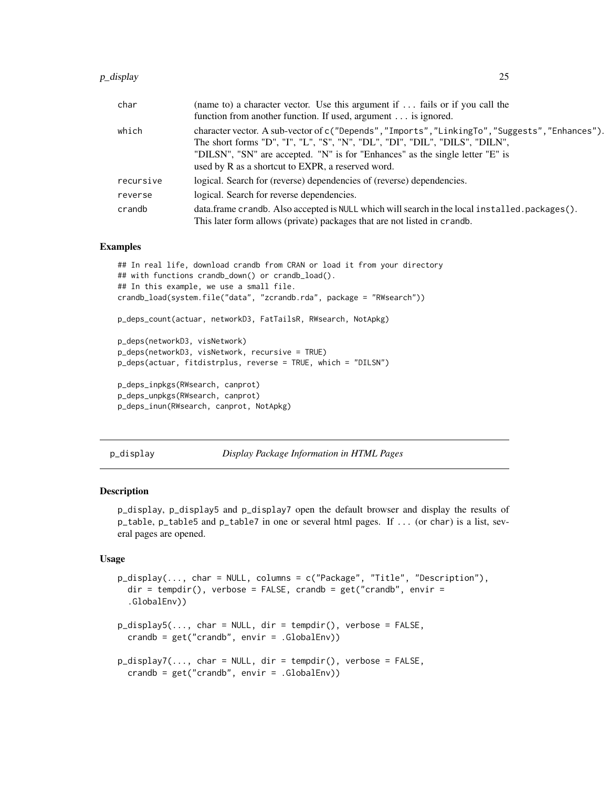#### <span id="page-24-0"></span>p\_display 25

| char      | (name to) a character vector. Use this argument if $\ldots$ fails or if you call the<br>function from another function. If used, argument is ignored.                                                                                                                                                                |
|-----------|----------------------------------------------------------------------------------------------------------------------------------------------------------------------------------------------------------------------------------------------------------------------------------------------------------------------|
| which     | character vector. A sub-vector of c("Depends", "Imports", "LinkingTo", "Suggests", "Enhances").<br>The short forms "D", "I", "L", "S", "N", "DL", "DI", "DIL", "DILS", "DILN",<br>"DILSN", "SN" are accepted. "N" is for "Enhances" as the single letter "E" is<br>used by R as a shortcut to EXPR, a reserved word. |
| recursive | logical. Search for (reverse) dependencies of (reverse) dependencies.                                                                                                                                                                                                                                                |
| reverse   | logical. Search for reverse dependencies.                                                                                                                                                                                                                                                                            |
| crandb    | data.frame crandb. Also accepted is NULL which will search in the local installed.packages().<br>This later form allows (private) packages that are not listed in crandb.                                                                                                                                            |

#### Examples

```
## In real life, download crandb from CRAN or load it from your directory
## with functions crandb_down() or crandb_load().
## In this example, we use a small file.
crandb_load(system.file("data", "zcrandb.rda", package = "RWsearch"))
p_deps_count(actuar, networkD3, FatTailsR, RWsearch, NotApkg)
p_deps(networkD3, visNetwork)
p_deps(networkD3, visNetwork, recursive = TRUE)
p_deps(actuar, fitdistrplus, reverse = TRUE, which = "DILSN")
p_deps_inpkgs(RWsearch, canprot)
p_deps_unpkgs(RWsearch, canprot)
p_deps_inun(RWsearch, canprot, NotApkg)
```
<span id="page-24-1"></span>p\_display *Display Package Information in HTML Pages*

# Description

p\_display, p\_display5 and p\_display7 open the default browser and display the results of p\_table, p\_table5 and p\_table7 in one or several html pages. If ... (or char) is a list, several pages are opened.

# Usage

```
p_display(..., char = NULL, columns = c("Package", "Title", "Description"),
  dir = tempdir(), verbose = FALSE, crandb = get("crandb", envir =.GlobalEnv))
p\_display5(..., char = NULL, dir = tempdir(), verbose = FALSE,
  crandb = get("crandb", envir = .GlobalEnv))
p\_display(...,\text{char} = \text{NULL}, \text{dir} = \text{template}(), verbose = F</math>ALSE,crandb = get("crandb", envir = .GlobalEnv))
```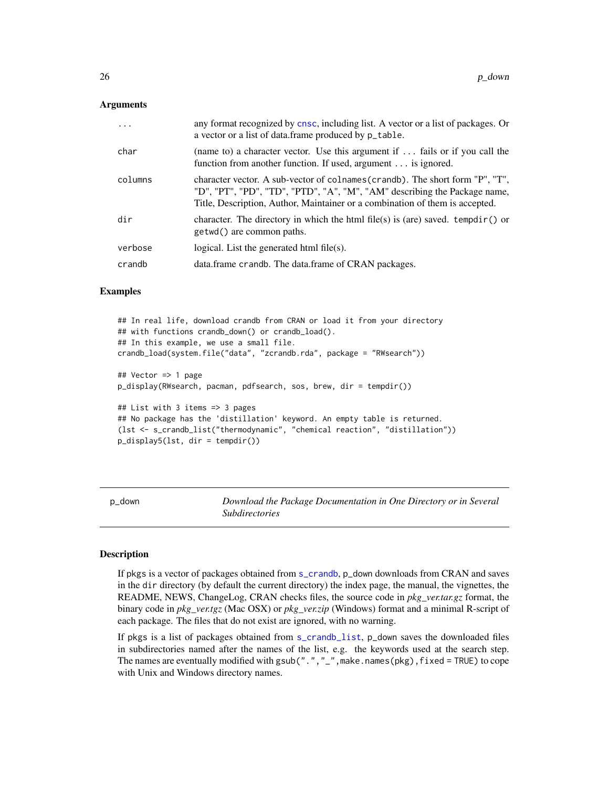#### <span id="page-25-0"></span>Arguments

| .       | any format recognized by cnsc, including list. A vector or a list of packages. Or<br>a vector or a list of data.frame produced by $p$ _table.                                                                                              |
|---------|--------------------------------------------------------------------------------------------------------------------------------------------------------------------------------------------------------------------------------------------|
| char    | (name to) a character vector. Use this argument if $\dots$ fails or if you call the<br>function from another function. If used, argument is ignored.                                                                                       |
| columns | character vector. A sub-vector of colnames (crandb). The short form "P", "T",<br>"D", "PT", "PD", "TD", "PTD", "A", "M", "AM" describing the Package name,<br>Title, Description, Author, Maintainer or a combination of them is accepted. |
| dir     | character. The directory in which the html file(s) is (are) saved. tempdir() or<br>getwd() are common paths.                                                                                                                               |
| verbose | logical. List the generated html $file(s)$ .                                                                                                                                                                                               |
| crandb  | data.frame crandb. The data.frame of CRAN packages.                                                                                                                                                                                        |
|         |                                                                                                                                                                                                                                            |

#### Examples

```
## In real life, download crandb from CRAN or load it from your directory
## with functions crandb_down() or crandb_load().
## In this example, we use a small file.
crandb_load(system.file("data", "zcrandb.rda", package = "RWsearch"))
## Vector => 1 page
p_display(RWsearch, pacman, pdfsearch, sos, brew, dir = tempdir())
## List with 3 items => 3 pages
## No package has the 'distillation' keyword. An empty table is returned.
(lst <- s_crandb_list("thermodynamic", "chemical reaction", "distillation"))
p_display5(lst, dir = tempdir())
```
<span id="page-25-2"></span>p\_down *Download the Package Documentation in One Directory or in Several Subdirectories*

#### <span id="page-25-1"></span>**Description**

If pkgs is a vector of packages obtained from [s\\_crandb](#page-37-1), p\_down downloads from CRAN and saves in the dir directory (by default the current directory) the index page, the manual, the vignettes, the README, NEWS, ChangeLog, CRAN checks files, the source code in *pkg\_ver.tar.gz* format, the binary code in *pkg\_ver.tgz* (Mac OSX) or *pkg\_ver.zip* (Windows) format and a minimal R-script of each package. The files that do not exist are ignored, with no warning.

If pkgs is a list of packages obtained from [s\\_crandb\\_list](#page-37-2), p\_down saves the downloaded files in subdirectories named after the names of the list, e.g. the keywords used at the search step. The names are eventually modified with gsub(".", "\_", make.names(pkg),  $fixed = TRUE$ ) to cope with Unix and Windows directory names.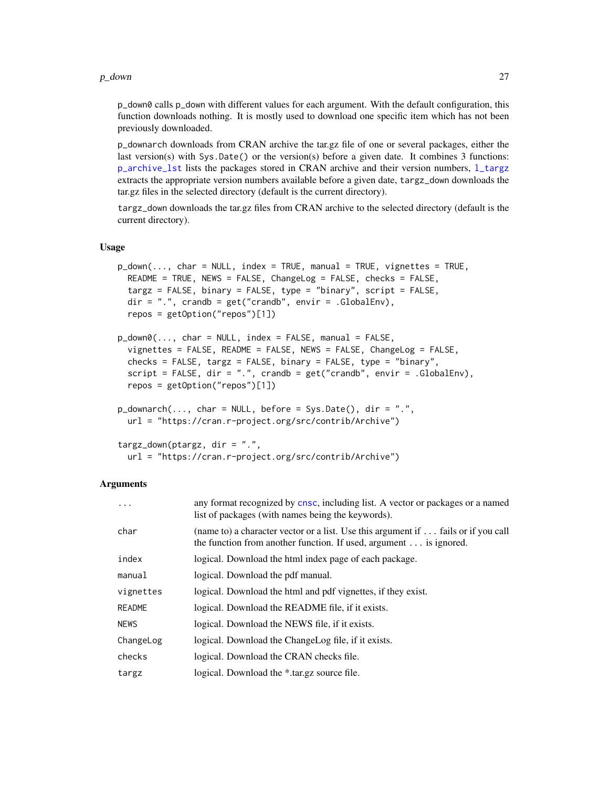#### <span id="page-26-0"></span> $p_d$  down 27

p\_down0 calls p\_down with different values for each argument. With the default configuration, this function downloads nothing. It is mostly used to download one specific item which has not been previously downloaded.

p\_downarch downloads from CRAN archive the tar.gz file of one or several packages, either the last version(s) with Sys.Date() or the version(s) before a given date. It combines 3 functions: [p\\_archive\\_lst](#page-20-1) lists the packages stored in CRAN archive and their version numbers, [l\\_targz](#page-20-1) extracts the appropriate version numbers available before a given date, targz\_down downloads the tar.gz files in the selected directory (default is the current directory).

targz\_down downloads the tar.gz files from CRAN archive to the selected directory (default is the current directory).

#### Usage

```
p_ddown(..., char = NULL, index = TRUE, manual = TRUE, vignettes = TRUE,
  README = TRUE, NEWS = FALSE, ChangeLog = FALSE, checks = FALSE,
  targz = FALSE, binary = FALSE, type = "binary", script = FALSE,
  dir = ".", crandb = get("crandb", envir = .GlobalEnv),
  repos = getOption("repos")[1])
p_ddown\emptyset(..., char = NULL, index = FALSE, manual = FALSE,
  vignettes = FALSE, README = FALSE, NEWS = FALSE, ChangeLog = FALSE,
  checks = FALSE, targz = FALSE, binary = FALSE, type = "binary",
  script = FALSE, dir = ".", crandb = get("crandb", envir = .GlobalEnv),
  repos = getOption("repos")[1])
p_ddownarch(..., char = NULL, before = Sys.DataFrame(), dir = ".",url = "https://cran.r-project.org/src/contrib/Archive")
targz_down(ptargz, dir = ".",
  url = "https://cran.r-project.org/src/contrib/Archive")
```
#### Arguments

| $\cdots$      | any format recognized by cnsc, including list. A vector or packages or a named<br>list of packages (with names being the keywords).                                    |
|---------------|------------------------------------------------------------------------------------------------------------------------------------------------------------------------|
| char          | (name to) a character vector or a list. Use this argument if $\dots$ fails or if you call<br>the function from another function. If used, argument $\dots$ is ignored. |
| index         | logical. Download the html index page of each package.                                                                                                                 |
| manual        | logical. Download the pdf manual.                                                                                                                                      |
| vignettes     | logical. Download the html and pdf vignettes, if they exist.                                                                                                           |
| <b>README</b> | logical. Download the README file, if it exists.                                                                                                                       |
| <b>NEWS</b>   | logical. Download the NEWS file, if it exists.                                                                                                                         |
| ChangeLog     | logical. Download the ChangeLog file, if it exists.                                                                                                                    |
| checks        | logical. Download the CRAN checks file.                                                                                                                                |
| targz         | logical. Download the *.tar.gz source file.                                                                                                                            |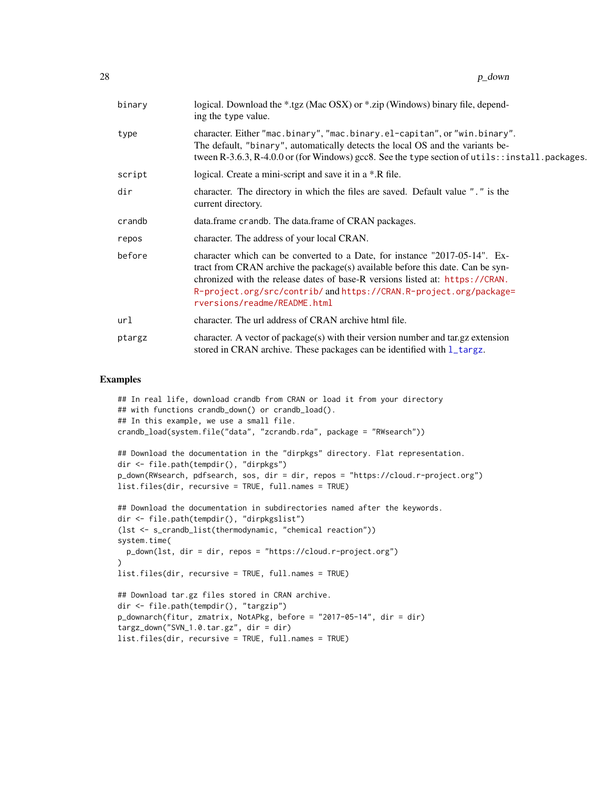<span id="page-27-0"></span>

| binary | logical. Download the *.tgz (Mac OSX) or *.zip (Windows) binary file, depend-<br>ing the type value.                                                                                                                                                                                                                                               |
|--------|----------------------------------------------------------------------------------------------------------------------------------------------------------------------------------------------------------------------------------------------------------------------------------------------------------------------------------------------------|
| type   | character. Either "mac.binary", "mac.binary.el-capitan", or "win.binary".<br>The default, "binary", automatically detects the local OS and the variants be-<br>tween R-3.6.3, R-4.0.0 or (for Windows) gcc8. See the type section of utils::install.packages.                                                                                      |
| script | logical. Create a mini-script and save it in a *.R file.                                                                                                                                                                                                                                                                                           |
| dir    | character. The directory in which the files are saved. Default value "." is the<br>current directory.                                                                                                                                                                                                                                              |
| crandb | data.frame crandb. The data.frame of CRAN packages.                                                                                                                                                                                                                                                                                                |
| repos  | character. The address of your local CRAN.                                                                                                                                                                                                                                                                                                         |
| before | character which can be converted to a Date, for instance "2017-05-14". Ex-<br>tract from CRAN archive the package(s) available before this date. Can be syn-<br>chronized with the release dates of base-R versions listed at: https://CRAN.<br>R-project.org/src/contrib/ and https://CRAN.R-project.org/package=<br>rversions/readme/README.html |
| url    | character. The url address of CRAN archive html file.                                                                                                                                                                                                                                                                                              |
| ptargz | character. A vector of package(s) with their version number and tar.gz extension<br>stored in CRAN archive. These packages can be identified with l_targz.                                                                                                                                                                                         |

#### Examples

```
## In real life, download crandb from CRAN or load it from your directory
## with functions crandb_down() or crandb_load().
## In this example, we use a small file.
crandb_load(system.file("data", "zcrandb.rda", package = "RWsearch"))
## Download the documentation in the "dirpkgs" directory. Flat representation.
dir <- file.path(tempdir(), "dirpkgs")
p_down(RWsearch, pdfsearch, sos, dir = dir, repos = "https://cloud.r-project.org")
list.files(dir, recursive = TRUE, full.names = TRUE)
## Download the documentation in subdirectories named after the keywords.
dir <- file.path(tempdir(), "dirpkgslist")
(lst <- s_crandb_list(thermodynamic, "chemical reaction"))
system.time(
  p_down(lst, dir = dir, repos = "https://cloud.r-project.org")
)
list.files(dir, recursive = TRUE, full.names = TRUE)
## Download tar.gz files stored in CRAN archive.
dir <- file.path(tempdir(), "targzip")
p_downarch(fitur, zmatrix, NotAPkg, before = "2017-05-14", dir = dir)
targz_down("SVN_1.0.tar.gz", dir = dir)
list.files(dir, recursive = TRUE, full.names = TRUE)
```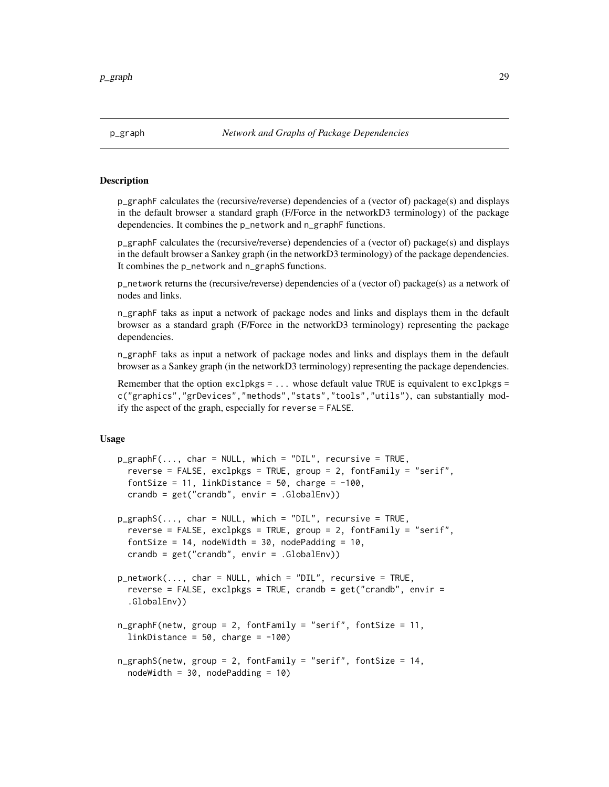<span id="page-28-0"></span>

## <span id="page-28-1"></span>Description

p\_graphF calculates the (recursive/reverse) dependencies of a (vector of) package(s) and displays in the default browser a standard graph (F/Force in the networkD3 terminology) of the package dependencies. It combines the p\_network and n\_graphF functions.

p\_graphF calculates the (recursive/reverse) dependencies of a (vector of) package(s) and displays in the default browser a Sankey graph (in the networkD3 terminology) of the package dependencies. It combines the p\_network and n\_graphS functions.

p\_network returns the (recursive/reverse) dependencies of a (vector of) package(s) as a network of nodes and links.

n\_graphF taks as input a network of package nodes and links and displays them in the default browser as a standard graph (F/Force in the networkD3 terminology) representing the package dependencies.

n\_graphF taks as input a network of package nodes and links and displays them in the default browser as a Sankey graph (in the networkD3 terminology) representing the package dependencies.

Remember that the option  $exclpkgs = ...$  whose default value TRUE is equivalent to  $exclpkgs = ...$ c("graphics","grDevices","methods","stats","tools","utils"), can substantially modify the aspect of the graph, especially for reverse = FALSE.

# Usage

```
p_{\text{graphF}}(\ldots, \text{char} = \text{NULL}, \text{which} = \text{"DIL", recursive} = \text{TRUE},reverse = FALSE, exclpkgs = TRUE, group = 2, fontFamily = "serif",
  fontSize = 11, linkDistance = 50, charge = -100,
  crandb = get("crandb", envir = .GlobalEnv))
p_graphS(..., char = NULL, which = "DIL", recursive = TRUE,
  reverse = FALSE, exclpkgs = TRUE, group = 2, fontFamily = "serif",
  fontSize = 14, nodeWidth = 30, nodePadding = 10,
  crandb = get("crandb", envir = .GlobalEnv))
p_network(..., char = NULL, which = "DIL", recursive = TRUE,
  reverse = FALSE, exclpkgs = TRUE, crandb = get("crandb", envir =.GlobalEnv))
n_graphF(netw, group = 2, fontFamily = "serif", fontSize = 11,
  linkDistance = 50, charge = -100)
n_graphS(netw, group = 2, fontFamily = "serif", fontSize = 14,
  nodeWidth = 30, nodePadding = 10
```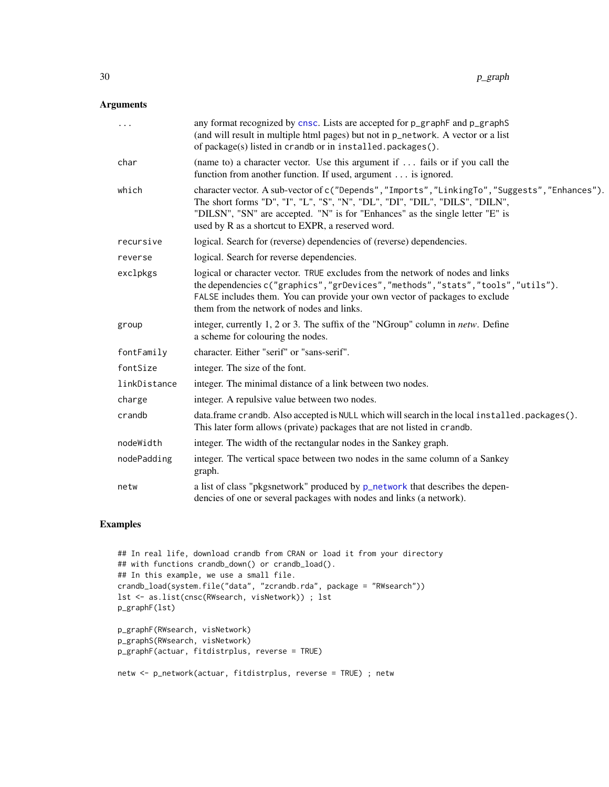# <span id="page-29-0"></span>Arguments

| .            | any format recognized by cnsc. Lists are accepted for p_graphF and p_graphS<br>(and will result in multiple html pages) but not in p_network. A vector or a list<br>of package(s) listed in crandb or in installed.packages().                                                                                       |
|--------------|----------------------------------------------------------------------------------------------------------------------------------------------------------------------------------------------------------------------------------------------------------------------------------------------------------------------|
| char         | (name to) a character vector. Use this argument if $\dots$ fails or if you call the<br>function from another function. If used, argument is ignored.                                                                                                                                                                 |
| which        | character vector. A sub-vector of c("Depends", "Imports", "LinkingTo", "Suggests", "Enhances").<br>The short forms "D", "I", "L", "S", "N", "DL", "DI", "DIL", "DILS", "DILN",<br>"DILSN", "SN" are accepted. "N" is for "Enhances" as the single letter "E" is<br>used by R as a shortcut to EXPR, a reserved word. |
| recursive    | logical. Search for (reverse) dependencies of (reverse) dependencies.                                                                                                                                                                                                                                                |
| reverse      | logical. Search for reverse dependencies.                                                                                                                                                                                                                                                                            |
| exclpkgs     | logical or character vector. TRUE excludes from the network of nodes and links<br>the dependencies c("graphics","grDevices","methods","stats","tools","utils").<br>FALSE includes them. You can provide your own vector of packages to exclude<br>them from the network of nodes and links.                          |
| group        | integer, currently 1, 2 or 3. The suffix of the "NGroup" column in <i>netw</i> . Define<br>a scheme for colouring the nodes.                                                                                                                                                                                         |
| fontFamily   | character. Either "serif" or "sans-serif".                                                                                                                                                                                                                                                                           |
| fontSize     | integer. The size of the font.                                                                                                                                                                                                                                                                                       |
| linkDistance | integer. The minimal distance of a link between two nodes.                                                                                                                                                                                                                                                           |
| charge       | integer. A repulsive value between two nodes.                                                                                                                                                                                                                                                                        |
| crandb       | data.frame crandb. Also accepted is NULL which will search in the local installed.packages().<br>This later form allows (private) packages that are not listed in crandb.                                                                                                                                            |
| nodeWidth    | integer. The width of the rectangular nodes in the Sankey graph.                                                                                                                                                                                                                                                     |
| nodePadding  | integer. The vertical space between two nodes in the same column of a Sankey<br>graph.                                                                                                                                                                                                                               |
| netw         | a list of class "pkgsnetwork" produced by p_network that describes the depen-<br>dencies of one or several packages with nodes and links (a network).                                                                                                                                                                |

# Examples

```
## In real life, download crandb from CRAN or load it from your directory
## with functions crandb_down() or crandb_load().
## In this example, we use a small file.
crandb_load(system.file("data", "zcrandb.rda", package = "RWsearch"))
lst <- as.list(cnsc(RWsearch, visNetwork)) ; lst
p_graphF(lst)
p_graphF(RWsearch, visNetwork)
p_graphS(RWsearch, visNetwork)
p_graphF(actuar, fitdistrplus, reverse = TRUE)
netw <- p_network(actuar, fitdistrplus, reverse = TRUE) ; netw
```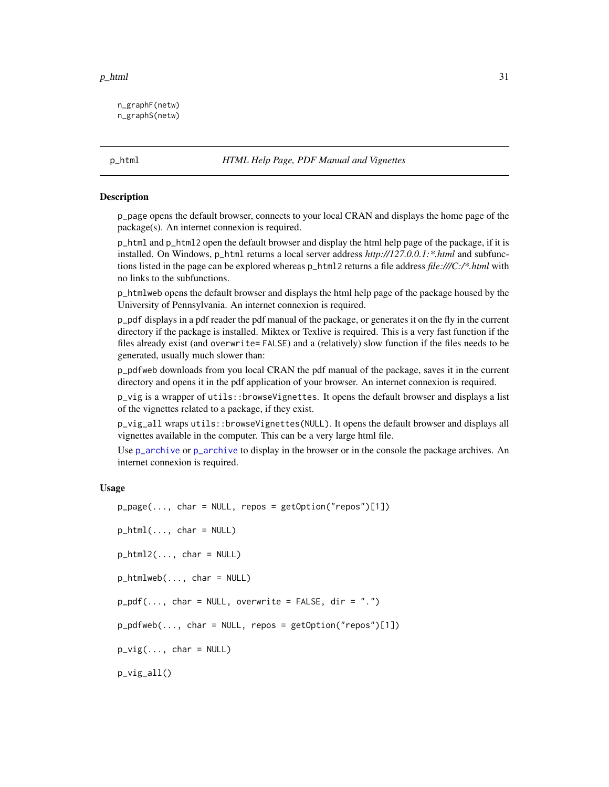#### <span id="page-30-0"></span> $p_\text{thm}$  31

n\_graphF(netw) n\_graphS(netw)

# p\_html *HTML Help Page, PDF Manual and Vignettes*

#### Description

p\_page opens the default browser, connects to your local CRAN and displays the home page of the package(s). An internet connexion is required.

p\_html and p\_html2 open the default browser and display the html help page of the package, if it is installed. On Windows, p\_html returns a local server address *http://127.0.0.1:\*.html* and subfunctions listed in the page can be explored whereas p\_html2 returns a file address *file:///C:/\*.html* with no links to the subfunctions.

p\_htmlweb opens the default browser and displays the html help page of the package housed by the University of Pennsylvania. An internet connexion is required.

p\_pdf displays in a pdf reader the pdf manual of the package, or generates it on the fly in the current directory if the package is installed. Miktex or Texlive is required. This is a very fast function if the files already exist (and overwrite= FALSE) and a (relatively) slow function if the files needs to be generated, usually much slower than:

p\_pdfweb downloads from you local CRAN the pdf manual of the package, saves it in the current directory and opens it in the pdf application of your browser. An internet connexion is required.

p\_vig is a wrapper of utils::browseVignettes. It opens the default browser and displays a list of the vignettes related to a package, if they exist.

p\_vig\_all wraps utils::browseVignettes(NULL). It opens the default browser and displays all vignettes available in the computer. This can be a very large html file.

Use [p\\_archive](#page-20-2) or p\_archive to display in the browser or in the console the package archives. An internet connexion is required.

#### Usage

 $p_{\text{p}}$ age(..., char = NULL, repos = getOption("repos")[1])  $p_{}$ html $($ ..., char = NULL) p\_html2(..., char = NULL) p\_htmlweb(..., char = NULL)  $p_pdf(..., char = NULL, overwrite = FALSE, dir = ".")$  $p\_pdfweb(..., char = NULL, repos = getOption("repos")[1])$  $p_{\text{avg}}(\ldots, \text{char} = \text{NULL})$ p\_vig\_all()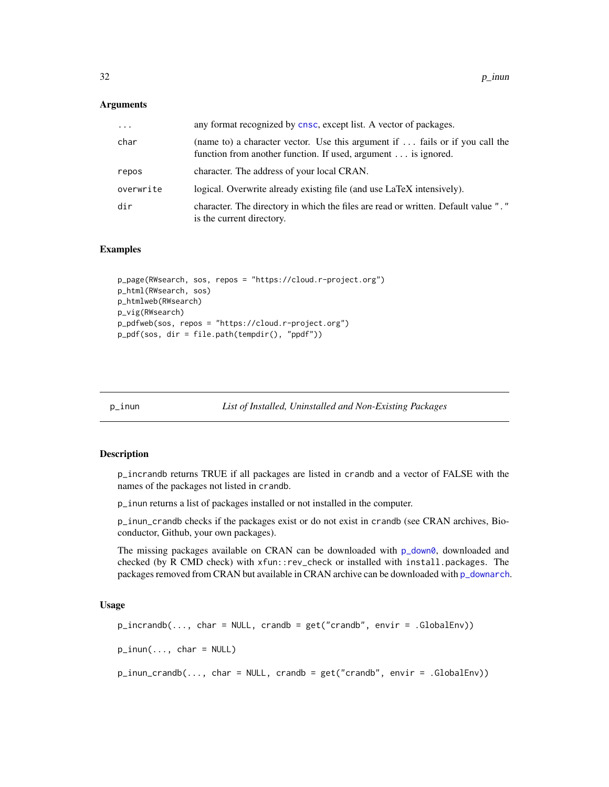#### <span id="page-31-0"></span>**Arguments**

| $\cdots$  | any format recognized by cnsc, except list. A vector of packages.                                                                                     |
|-----------|-------------------------------------------------------------------------------------------------------------------------------------------------------|
| char      | (name to) a character vector. Use this argument if $\ldots$ fails or if you call the<br>function from another function. If used, argument is ignored. |
| repos     | character. The address of your local CRAN.                                                                                                            |
| overwrite | logical. Overwrite already existing file (and use LaTeX intensively).                                                                                 |
| dir       | character. The directory in which the files are read or written. Default value "."<br>is the current directory.                                       |

#### Examples

```
p_page(RWsearch, sos, repos = "https://cloud.r-project.org")
p_html(RWsearch, sos)
p_htmlweb(RWsearch)
p_vig(RWsearch)
p_pdfweb(sos, repos = "https://cloud.r-project.org")
p_pdf(sos, dir = file.path(tempdir(), "ppdf"))
```
p\_inun *List of Installed, Uninstalled and Non-Existing Packages*

# Description

p\_incrandb returns TRUE if all packages are listed in crandb and a vector of FALSE with the names of the packages not listed in crandb.

p\_inun returns a list of packages installed or not installed in the computer.

p\_inun\_crandb checks if the packages exist or do not exist in crandb (see CRAN archives, Bioconductor, Github, your own packages).

The missing packages available on CRAN can be downloaded with  $p_d$  down0, downloaded and checked (by R CMD check) with xfun::rev\_check or installed with install.packages. The packages removed from CRAN but available in CRAN archive can be downloaded with [p\\_downarch](#page-25-1).

#### Usage

```
p_incrandb(..., char = NULL, crandb = get("crandb", envir = .GlobalEnv))p_{i}inun(..., char = NULL)p_inun_crandb(..., char = NULL, crandb = get("crandb", envir = .GlobalEnv))
```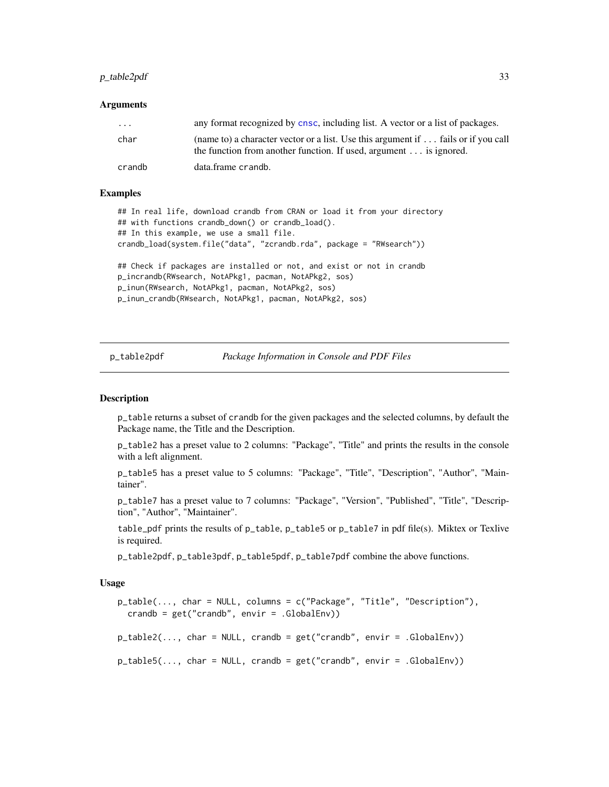# <span id="page-32-0"></span> $p_{\text{table}}$  able 2pdf  $\qquad$  33

#### **Arguments**

| $\cdot$ $\cdot$ $\cdot$ | any format recognized by cnsc, including list. A vector or a list of packages.                                                                                  |
|-------------------------|-----------------------------------------------------------------------------------------------------------------------------------------------------------------|
| char                    | (name to) a character vector or a list. Use this argument if  fails or if you call<br>the function from another function. If used, argument $\dots$ is ignored. |
| crandb                  | data.frame crandb.                                                                                                                                              |

#### Examples

```
## In real life, download crandb from CRAN or load it from your directory
## with functions crandb_down() or crandb_load().
## In this example, we use a small file.
crandb_load(system.file("data", "zcrandb.rda", package = "RWsearch"))
## Check if packages are installed or not, and exist or not in crandb
```

```
p_incrandb(RWsearch, NotAPkg1, pacman, NotAPkg2, sos)
p_inun(RWsearch, NotAPkg1, pacman, NotAPkg2, sos)
p_inun_crandb(RWsearch, NotAPkg1, pacman, NotAPkg2, sos)
```
p\_table2pdf *Package Information in Console and PDF Files*

#### <span id="page-32-1"></span>Description

p\_table returns a subset of crandb for the given packages and the selected columns, by default the Package name, the Title and the Description.

p\_table2 has a preset value to 2 columns: "Package", "Title" and prints the results in the console with a left alignment.

p\_table5 has a preset value to 5 columns: "Package", "Title", "Description", "Author", "Maintainer".

p\_table7 has a preset value to 7 columns: "Package", "Version", "Published", "Title", "Description", "Author", "Maintainer".

table\_pdf prints the results of p\_table, p\_table5 or p\_table7 in pdf file(s). Miktex or Texlive is required.

p\_table2pdf, p\_table3pdf, p\_table5pdf, p\_table7pdf combine the above functions.

#### Usage

```
p_table(..., char = NULL, columns = c("Package", "Title", "Description"),
  crandb = get('crandb'', envir = .GlobalEnv)
```
 $p\_table2(..., char = NULL, crandb = get("crandb", envir = .GlobalEnv))$ 

p\_table5(..., char = NULL, crandb = get("crandb", envir = .GlobalEnv))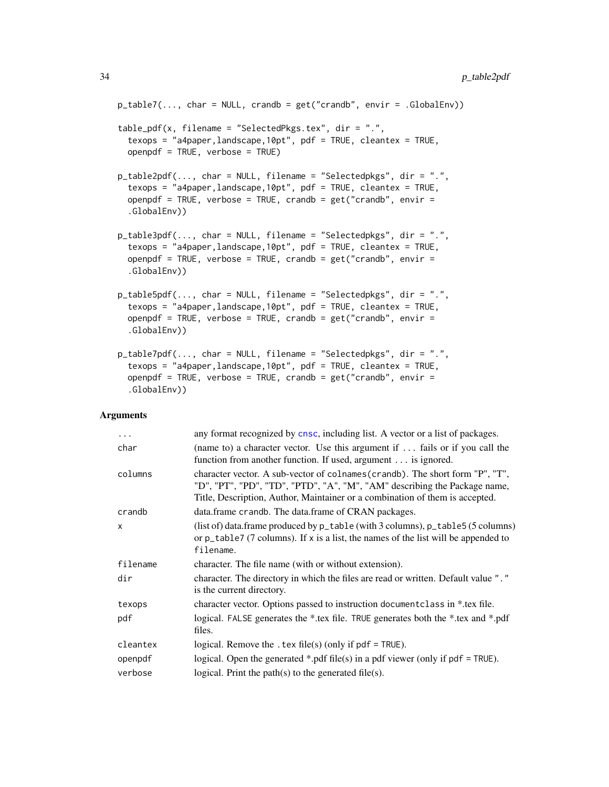```
p_{\text{table7}}(...,\text{char} = \text{NULL},\text{crandb} = \text{get("crandb", envir = .GlobalEnv)})table_pdf(x, filename = "SelectedPkgs.tex", dir = ".",
  texops = "a4paper,landscape,10pt", pdf = TRUE, cleantex = TRUE,
  openpdf = TRUE, verbose = TRUE)
p_table2pdf(..., char = NULL, filename = "Selectedpkgs", dir = ".",
  texops = "a4paper,landscape,10pt", pdf = TRUE, cleantex = TRUE,
  openpdf = TRUE, verbose = TRUE, crandb = get("crandb", envir =.GlobalEnv))
p_table3pdf(..., char = NULL, filename = "Selectedpkgs", dir = ".",
  texops = "a4paper,landscape,10pt", pdf = TRUE, cleantex = TRUE,
  openpdf = TRUE, verbose = TRUE, crandb = get("crandb", envir =.GlobalEnv))
p_table5pdf(..., char = NULL, filename = "Selectedpkgs", dir = ".",
  texops = "a4paper,landscape,10pt", pdf = TRUE, cleantex = TRUE,
  openpdf = TRUE, verbose = TRUE, crandb = get("crandb", envir =.GlobalEnv))
p_table7pdf(..., char = NULL, filename = "Selectedpkgs", dir = ".",
  texops = "a4paper,landscape,10pt", pdf = TRUE, cleantex = TRUE,
  openpdf = TRUE, verbose = TRUE, crandb = get("crandb", envir =
```
#### Arguments

.GlobalEnv))

| $\ddots$ .   | any format recognized by cnsc, including list. A vector or a list of packages.                                                                                                                                                             |
|--------------|--------------------------------------------------------------------------------------------------------------------------------------------------------------------------------------------------------------------------------------------|
| char         | (name to) a character vector. Use this argument if $\ldots$ fails or if you call the<br>function from another function. If used, argument is ignored.                                                                                      |
| columns      | character vector. A sub-vector of colnames (crandb). The short form "P", "T",<br>"D", "PT", "PD", "TD", "PTD", "A", "M", "AM" describing the Package name,<br>Title, Description, Author, Maintainer or a combination of them is accepted. |
| crandb       | data.frame crandb. The data.frame of CRAN packages.                                                                                                                                                                                        |
| $\mathsf{x}$ | (list of) data.frame produced by $p$ _table (with 3 columns), $p$ _table 5 (5 columns)<br>or $p_{\text{table}}$ (7 columns). If x is a list, the names of the list will be appended to<br>filename.                                        |
| filename     | character. The file name (with or without extension).                                                                                                                                                                                      |
| dir          | character. The directory in which the files are read or written. Default value "."<br>is the current directory.                                                                                                                            |
| texops       | character vector. Options passed to instruction document class in *.tex file.                                                                                                                                                              |
| pdf          | logical. FALSE generates the *.tex file. TRUE generates both the *.tex and *.pdf<br>files.                                                                                                                                                 |
| cleantex     | logical. Remove the . tex file(s) (only if $pdf = TRUE$ ).                                                                                                                                                                                 |
| openpdf      | logical. Open the generated *.pdf file(s) in a pdf viewer (only if $pdf = TRUE$ ).                                                                                                                                                         |
| verbose      | logical. Print the path $(s)$ to the generated file $(s)$ .                                                                                                                                                                                |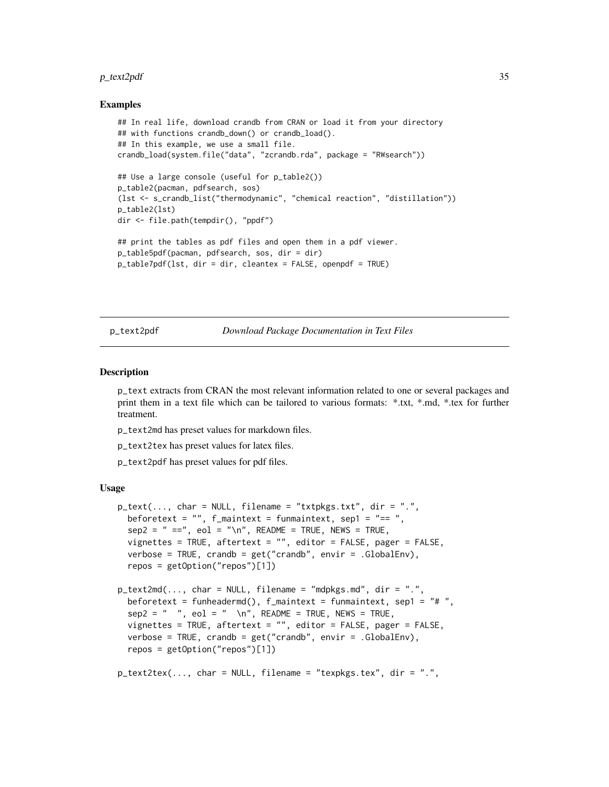# <span id="page-34-0"></span> $p_{\text{text2pdf}}$  35

## Examples

```
## In real life, download crandb from CRAN or load it from your directory
## with functions crandb_down() or crandb_load().
## In this example, we use a small file.
crandb_load(system.file("data", "zcrandb.rda", package = "RWsearch"))
## Use a large console (useful for p_table2())
p_table2(pacman, pdfsearch, sos)
(lst <- s_crandb_list("thermodynamic", "chemical reaction", "distillation"))
p_table2(lst)
dir <- file.path(tempdir(), "ppdf")
## print the tables as pdf files and open them in a pdf viewer.
p_table5pdf(pacman, pdfsearch, sos, dir = dir)
p_table7pdf(lst, dir = dir, cleantex = FALSE, openpdf = TRUE)
```
p\_text2pdf *Download Package Documentation in Text Files*

#### <span id="page-34-1"></span>Description

p\_text extracts from CRAN the most relevant information related to one or several packages and print them in a text file which can be tailored to various formats: \*.txt, \*.md, \*.tex for further treatment.

p\_text2md has preset values for markdown files.

- p\_text2tex has preset values for latex files.
- p\_text2pdf has preset values for pdf files.

#### Usage

```
p_{\text{text}}(...,\text{char} = \text{NULL},\text{filename} = \text{"txtpkgs.txt",\text{dir} = \text{"."},beforetext = "", f_maintext = funmaintext, sep1 = "== ",
  sep2 = " ==", eol = "\\n", README = TRUE, NEWS = TRUE,vignettes = TRUE, aftertext = "", editor = FALSE, pager = FALSE,
  verbose = TRUE, crandb = get("crandb", envir = .GlobalEnv),
  repos = getOption("repos")[1])
p_text2md(..., char = NULL, filename = "mdpkgs.md", dir = ".",
  beforetext = funheadermd(), f_maintext = funmaintext, sep1 = "# ",
  sep2 = " " , col = " \cap", README = TRUE, NEWS = TRUE,vignettes = TRUE, aftertext = "", editor = FALSE, pager = FALSE,
  verbose = TRUE, crandb = get("crandb", envir = .GlobalEnv),
  repos = getOption("repos")[1])
p_text2tex(..., char = NULL, filename = "texpkgs.tex", dir = ".",
```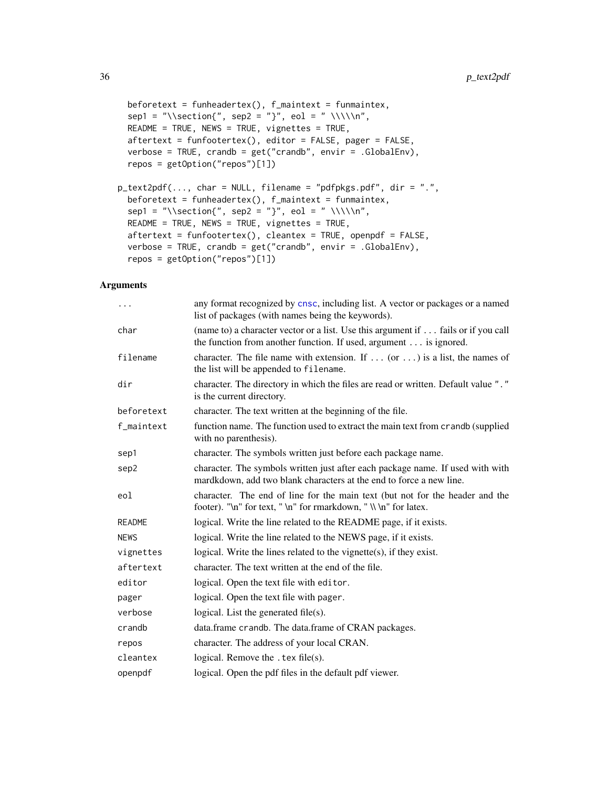```
beforetext = funheadertex(), f_{\text{.} maintext = funmaintex,
  sep1 = "\\section{", sep2 = "}", eol = " \\\\\n",
 README = TRUE, NEWS = TRUE, vignettes = TRUE,
  aftertext = funfootertex(), editor = FALSE, pager = FALSE,
  verbose = TRUE, crandb = get("crandb", envir = .GlobalEnv),
  repos = getOption("repos")[1])
p_{\text{text2pdf}(\ldots, \text{char} = \text{NULL}, \text{filename} = "pdfpkgs.pdf", \text{dir} = ".",beforetext = funheadertex(), f_{\text{\_maintext}} = funmaintex,
  sep1 = "\\section{", sep2 = "}", eol = " \\\\\n",
 README = TRUE, NEWS = TRUE, vignettes = TRUE,
 aftertext = funfootertex(), cleantex = TRUE, openpdf = FALSE,
  verbose = TRUE, crandb = get("crandb", envir = .GlobalEnv),
  repos = getOption("repos")[1])
```
# Arguments

| $\cdots$      | any format recognized by cnsc, including list. A vector or packages or a named<br>list of packages (with names being the keywords).                     |
|---------------|---------------------------------------------------------------------------------------------------------------------------------------------------------|
| char          | (name to) a character vector or a list. Use this argument if  fails or if you call<br>the function from another function. If used, argument is ignored. |
| filename      | character. The file name with extension. If $\ldots$ (or $\ldots$ ) is a list, the names of<br>the list will be appended to filename.                   |
| dir           | character. The directory in which the files are read or written. Default value "."<br>is the current directory.                                         |
| beforetext    | character. The text written at the beginning of the file.                                                                                               |
| f_maintext    | function name. The function used to extract the main text from crandb (supplied<br>with no parenthesis).                                                |
| sep1          | character. The symbols written just before each package name.                                                                                           |
| sep2          | character. The symbols written just after each package name. If used with with<br>mardkdown, add two blank characters at the end to force a new line.   |
| eol           | character. The end of line for the main text (but not for the header and the<br>footer). "\n" for text, " \n" for rmarkdown, " \\ \n" for latex.        |
| <b>README</b> | logical. Write the line related to the README page, if it exists.                                                                                       |
| <b>NEWS</b>   | logical. Write the line related to the NEWS page, if it exists.                                                                                         |
| vignettes     | logical. Write the lines related to the vignette $(s)$ , if they exist.                                                                                 |
| aftertext     | character. The text written at the end of the file.                                                                                                     |
| editor        | logical. Open the text file with editor.                                                                                                                |
| pager         | logical. Open the text file with pager.                                                                                                                 |
| verbose       | logical. List the generated file $(s)$ .                                                                                                                |
| crandb        | data.frame crandb. The data.frame of CRAN packages.                                                                                                     |
| repos         | character. The address of your local CRAN.                                                                                                              |
| cleantex      | logical. Remove the $text{ etc.}$ file(s).                                                                                                              |
| openpdf       | logical. Open the pdf files in the default pdf viewer.                                                                                                  |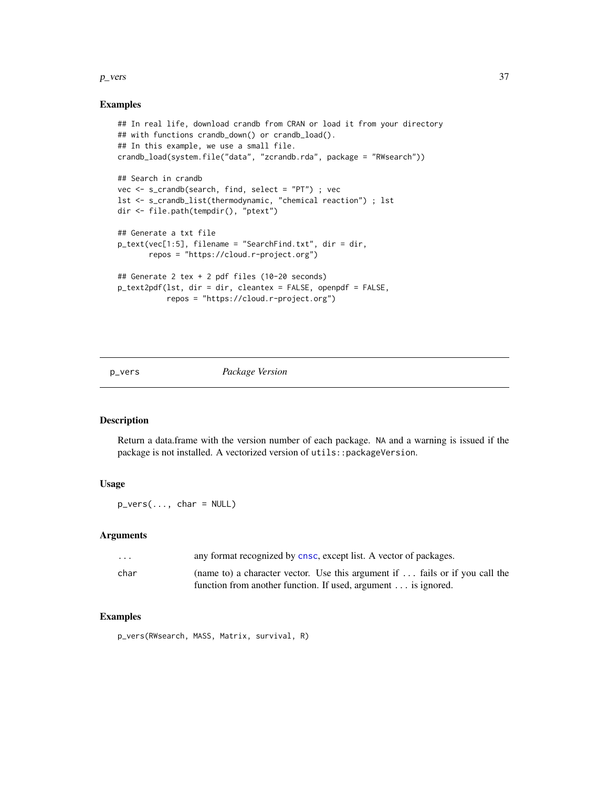#### <span id="page-36-0"></span> $p_{\text{S}}$  proposes and  $\frac{37}{2}$

# Examples

```
## In real life, download crandb from CRAN or load it from your directory
## with functions crandb_down() or crandb_load().
## In this example, we use a small file.
crandb_load(system.file("data", "zcrandb.rda", package = "RWsearch"))
## Search in crandb
vec <- s_crandb(search, find, select = "PT") ; vec
lst <- s_crandb_list(thermodynamic, "chemical reaction") ; lst
dir <- file.path(tempdir(), "ptext")
## Generate a txt file
p_text(vec[1:5], filename = "SearchFind.txt", dir = dir,
       repos = "https://cloud.r-project.org")
## Generate 2 tex + 2 pdf files (10-20 seconds)
p_text2pdf(lst, dir = dir, cleantex = FALSE, openpdf = FALSE,
           repos = "https://cloud.r-project.org")
```
p\_vers *Package Version*

# Description

Return a data.frame with the version number of each package. NA and a warning is issued if the package is not installed. A vectorized version of utils::packageVersion.

#### Usage

p\_vers(..., char = NULL)

# Arguments

| $\cdot$ $\cdot$ $\cdot$ | any format recognized by cnsc, except list. A vector of packages.                                                                             |
|-------------------------|-----------------------------------------------------------------------------------------------------------------------------------------------|
| char                    | (name to) a character vector. Use this argument if  fails or if you call the<br>function from another function. If used, argument is ignored. |

# Examples

p\_vers(RWsearch, MASS, Matrix, survival, R)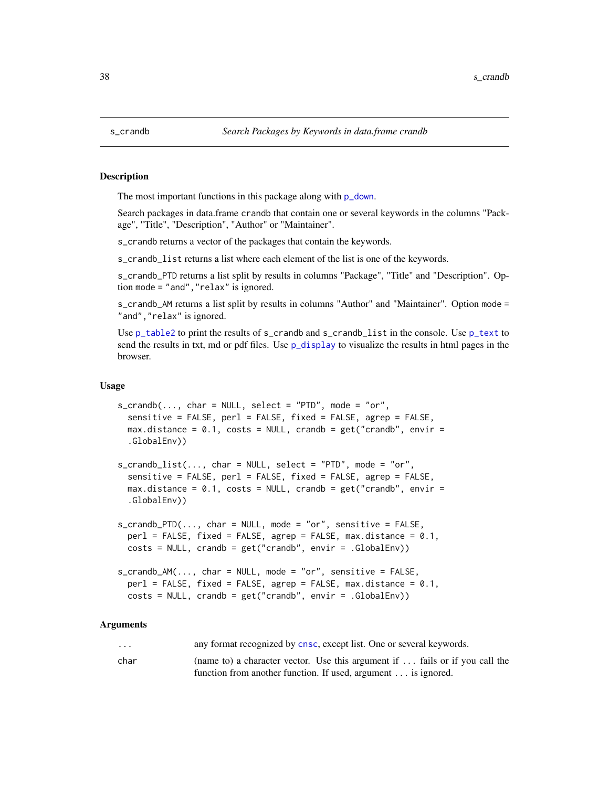<span id="page-37-1"></span><span id="page-37-0"></span>

#### <span id="page-37-2"></span>**Description**

The most important functions in this package along with  $p_d$  down.

Search packages in data.frame crandb that contain one or several keywords in the columns "Package", "Title", "Description", "Author" or "Maintainer".

s\_crandb returns a vector of the packages that contain the keywords.

s\_crandb\_list returns a list where each element of the list is one of the keywords.

s\_crandb\_PTD returns a list split by results in columns "Package", "Title" and "Description". Option mode = "and","relax" is ignored.

s\_crandb\_AM returns a list split by results in columns "Author" and "Maintainer". Option mode = "and", "relax" is ignored.

Use [p\\_table2](#page-32-1) to print the results of s\_crandb and s\_crandb\_list in the console. Use [p\\_text](#page-34-1) to send the results in txt, md or pdf files. Use [p\\_display](#page-24-1) to visualize the results in html pages in the browser.

#### Usage

```
s_ccrandb(..., char = NULL, select = "PTD", mode = "or",sensitive = FALSE, perl = FALSE, fixed = FALSE, agrep = FALSE,
 max.distance = 0.1, costs = NULL, crandb = get("crandb", envir =
  .GlobalEnv))
s_ccrandb_list(..., char = NULL, select = "PTD", mode = "or",sensitive = FALSE, perl = FALSE, fixed = FALSE, agrep = FALSE,
  max.distance = 0.1, costs = NULL, crandb = get("crandb", envir =.GlobalEnv))
s_crandb_PTD(..., char = NULL, mode = "or", sensitive = FALSE,
  perl = FALSE, fixed = FALSE, agrep = FALSE, max.distance = 0.1,
  costs = NULL, crandb = get("crandb", envir = .GlobalEnv))
s_ccrandb_AM(..., char = NULL, mode = "or", sensitive = FALSE,perl = FALSE, fixed = FALSE, agrep = FALSE, max.distance = 0.1,
  costs = NULL, crandb = get('crandb", envir = .GlobalEnv)
```
#### Arguments

... any format recognized by [cnsc](#page-6-1), except list. One or several keywords. char (name to) a character vector. Use this argument if ... fails or if you call the

function from another function. If used, argument ... is ignored.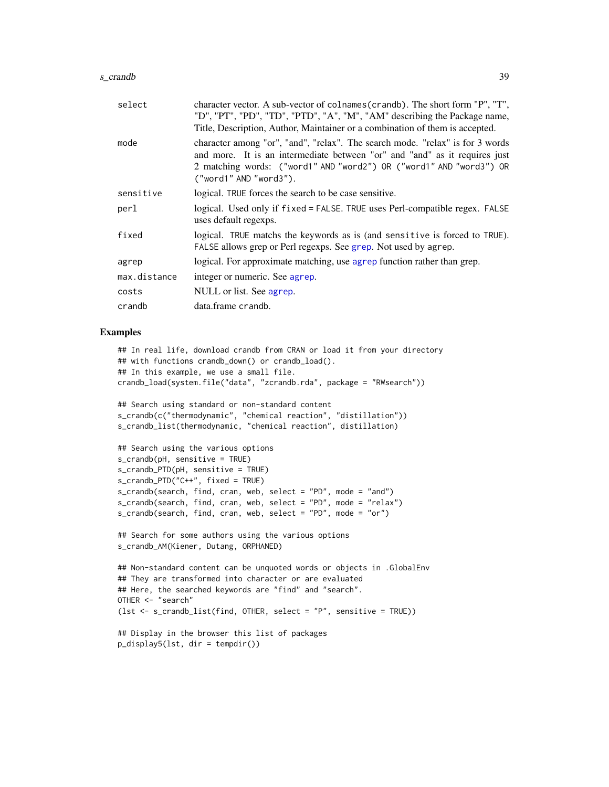#### <span id="page-38-0"></span>s\_crandb 39

| select       | character vector. A sub-vector of colnames (crandb). The short form "P", "T",<br>"D", "PT", "PD", "TD", "PTD", "A", "M", "AM" describing the Package name,<br>Title, Description, Author, Maintainer or a combination of them is accepted.                   |
|--------------|--------------------------------------------------------------------------------------------------------------------------------------------------------------------------------------------------------------------------------------------------------------|
| mode         | character among "or", "and", "relax". The search mode. "relax" is for 3 words<br>and more. It is an intermediate between "or" and "and" as it requires just<br>2 matching words: ("word1" AND "word2") OR ("word1" AND "word3") OR<br>("word1" AND "word3"). |
| sensitive    | logical. TRUE forces the search to be case sensitive.                                                                                                                                                                                                        |
| perl         | logical. Used only if fixed = FALSE. TRUE uses Perl-compatible regex. FALSE<br>uses default regexps.                                                                                                                                                         |
| fixed        | logical. TRUE matchs the keywords as is (and sensitive is forced to TRUE).<br>FALSE allows grep or Perl regexps. See grep. Not used by agrep.                                                                                                                |
| agrep        | logical. For approximate matching, use agrep function rather than grep.                                                                                                                                                                                      |
| max.distance | integer or numeric. See agrep.                                                                                                                                                                                                                               |
| costs        | NULL or list. See agrep.                                                                                                                                                                                                                                     |
| crandb       | data.frame crandb.                                                                                                                                                                                                                                           |
|              |                                                                                                                                                                                                                                                              |

#### Examples

```
## In real life, download crandb from CRAN or load it from your directory
## with functions crandb_down() or crandb_load().
## In this example, we use a small file.
crandb_load(system.file("data", "zcrandb.rda", package = "RWsearch"))
```

```
## Search using standard or non-standard content
s_crandb(c("thermodynamic", "chemical reaction", "distillation"))
s_crandb_list(thermodynamic, "chemical reaction", distillation)
```

```
## Search using the various options
s_crandb(pH, sensitive = TRUE)
s_crandb_PTD(pH, sensitive = TRUE)
s_crandb_PTD("C++", fixed = TRUE)
s_crandb(search, find, cran, web, select = "PD", mode = "and")
s_crandb(search, find, cran, web, select = "PD", mode = "relax")
s_crandb(search, find, cran, web, select = "PD", mode = "or")
```

```
## Search for some authors using the various options
s_crandb_AM(Kiener, Dutang, ORPHANED)
```

```
## Non-standard content can be unquoted words or objects in .GlobalEnv
## They are transformed into character or are evaluated
## Here, the searched keywords are "find" and "search".
OTHER <- "search"
(lst <- s_crandb_list(find, OTHER, select = "P", sensitive = TRUE))
```

```
## Display in the browser this list of packages
p_display5(lst, dir = tempdir())
```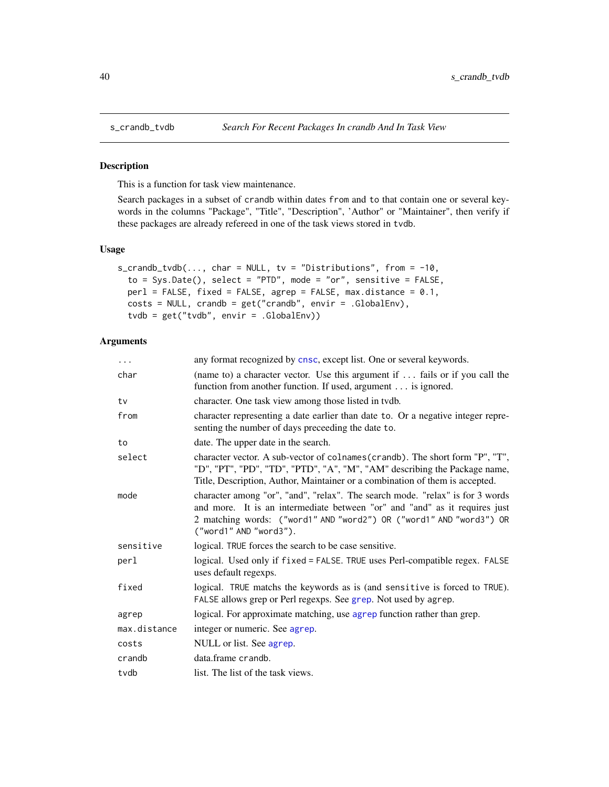<span id="page-39-1"></span><span id="page-39-0"></span>

### Description

This is a function for task view maintenance.

Search packages in a subset of crandb within dates from and to that contain one or several keywords in the columns "Package", "Title", "Description", 'Author" or "Maintainer", then verify if these packages are already refereed in one of the task views stored in tvdb.

#### Usage

```
s_crandb_tvdb(..., char = NULL, tv = "Distributions", from = -10,
  to = Sys.Date(), select = "PTD", mode = "or", sensitive = FALSE,
 perl = FALSE, fixed = FALSE, agrep = FALSE, max.distance = 0.1,
  costs = NULL, crandb = get("crandb", envir = .GlobalEnv),
  tvdb = get("tvdb", envir = .GlobalEnv))
```
#### Arguments

| $\cdots$     | any format recognized by cnsc, except list. One or several keywords.                                                                                                                                                                                         |
|--------------|--------------------------------------------------------------------------------------------------------------------------------------------------------------------------------------------------------------------------------------------------------------|
| char         | (name to) a character vector. Use this argument if $\ldots$ fails or if you call the<br>function from another function. If used, argument is ignored.                                                                                                        |
| tv           | character. One task view among those listed in tvdb.                                                                                                                                                                                                         |
| from         | character representing a date earlier than date to. Or a negative integer repre-<br>senting the number of days preceeding the date to.                                                                                                                       |
| to           | date. The upper date in the search.                                                                                                                                                                                                                          |
| select       | character vector. A sub-vector of colnames (crandb). The short form "P", "T",<br>"D", "PT", "PD", "TD", "PTD", "A", "M", "AM" describing the Package name,<br>Title, Description, Author, Maintainer or a combination of them is accepted.                   |
| mode         | character among "or", "and", "relax". The search mode. "relax" is for 3 words<br>and more. It is an intermediate between "or" and "and" as it requires just<br>2 matching words: ("word1" AND "word2") OR ("word1" AND "word3") OR<br>("word1" AND "word3"). |
| sensitive    | logical. TRUE forces the search to be case sensitive.                                                                                                                                                                                                        |
| perl         | logical. Used only if fixed = FALSE. TRUE uses Perl-compatible regex. FALSE<br>uses default regexps.                                                                                                                                                         |
| fixed        | logical. TRUE matchs the keywords as is (and sensitive is forced to TRUE).<br>FALSE allows grep or Perl regexps. See grep. Not used by agrep.                                                                                                                |
| agrep        | logical. For approximate matching, use agrep function rather than grep.                                                                                                                                                                                      |
| max.distance | integer or numeric. See agrep.                                                                                                                                                                                                                               |
| costs        | NULL or list. See agrep.                                                                                                                                                                                                                                     |
| crandb       | data.frame crandb.                                                                                                                                                                                                                                           |
| tvdb         | list. The list of the task views.                                                                                                                                                                                                                            |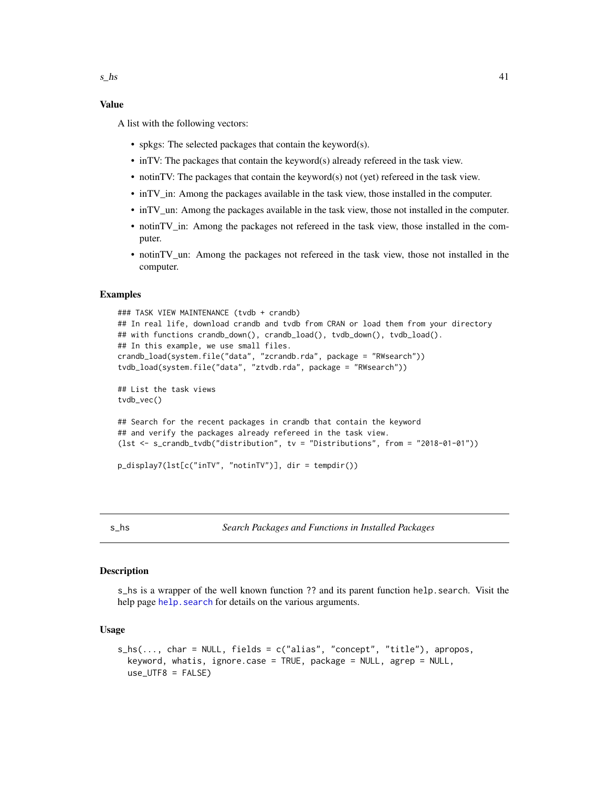# <span id="page-40-0"></span>Value

A list with the following vectors:

- spkgs: The selected packages that contain the keyword(s).
- inTV: The packages that contain the keyword(s) already refereed in the task view.
- notinTV: The packages that contain the keyword(s) not (yet) refereed in the task view.
- inTV\_in: Among the packages available in the task view, those installed in the computer.
- inTV un: Among the packages available in the task view, those not installed in the computer.
- notinTV\_in: Among the packages not refereed in the task view, those installed in the computer.
- notinTV un: Among the packages not refereed in the task view, those not installed in the computer.

# Examples

```
### TASK VIEW MAINTENANCE (tvdb + crandb)
## In real life, download crandb and tvdb from CRAN or load them from your directory
## with functions crandb_down(), crandb_load(), tvdb_down(), tvdb_load().
## In this example, we use small files.
crandb_load(system.file("data", "zcrandb.rda", package = "RWsearch"))
tvdb_load(system.file("data", "ztvdb.rda", package = "RWsearch"))
## List the task views
tvdb_vec()
## Search for the recent packages in crandb that contain the keyword
## and verify the packages already refereed in the task view.
(lst <- s_crandb_tvdb("distribution", tv = "Distributions", from = "2018-01-01"))
p_display7(lst[c("inTV", "notinTV")], dir = tempdir())
```
s\_hs *Search Packages and Functions in Installed Packages*

#### Description

s\_hs is a wrapper of the well known function ?? and its parent function help.search. Visit the help page help. search for details on the various arguments.

#### Usage

```
s_hs(..., char = NULL, fields = c("alias", "concept", "title"), apropos,
 keyword, whatis, ignore.case = TRUE, package = NULL, agrep = NULL,
 use_UTF8 = FALSE)
```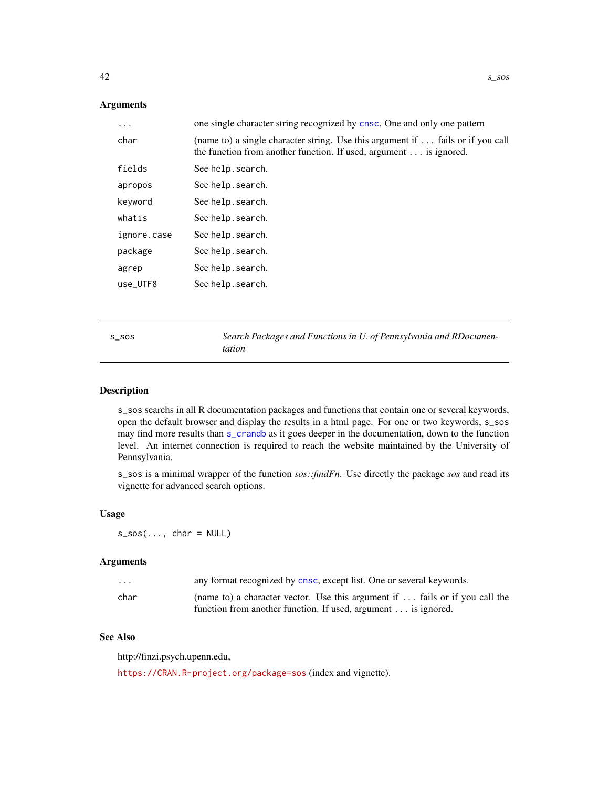# <span id="page-41-0"></span>Arguments

| $\cdots$    | one single character string recognized by cnsc. One and only one pattern                                                                                     |
|-------------|--------------------------------------------------------------------------------------------------------------------------------------------------------------|
| char        | (name to) a single character string. Use this argument if  fails or if you call<br>the function from another function. If used, argument $\dots$ is ignored. |
| fields      | See help.search.                                                                                                                                             |
| apropos     | See help.search.                                                                                                                                             |
| keyword     | See help.search.                                                                                                                                             |
| whatis      | See help.search.                                                                                                                                             |
| ignore.case | See help. search.                                                                                                                                            |
| package     | See help.search.                                                                                                                                             |
| agrep       | See help. search.                                                                                                                                            |
| use_UTF8    | See help.search.                                                                                                                                             |
|             |                                                                                                                                                              |

s\_sos *Search Packages and Functions in U. of Pennsylvania and RDocumentation*

#### Description

s\_sos searchs in all R documentation packages and functions that contain one or several keywords, open the default browser and display the results in a html page. For one or two keywords, s\_sos may find more results than [s\\_crandb](#page-37-1) as it goes deeper in the documentation, down to the function level. An internet connection is required to reach the website maintained by the University of Pennsylvania.

s\_sos is a minimal wrapper of the function *sos::findFn*. Use directly the package *sos* and read its vignette for advanced search options.

#### Usage

 $s\_sos(..., char = NULL)$ 

#### Arguments

| .    | any format recognized by cnsc, except list. One or several keywords.         |
|------|------------------------------------------------------------------------------|
| char | (name to) a character vector. Use this argument if  fails or if you call the |
|      | function from another function. If used, argument is ignored.                |

# See Also

http://finzi.psych.upenn.edu,

<https://CRAN.R-project.org/package=sos> (index and vignette).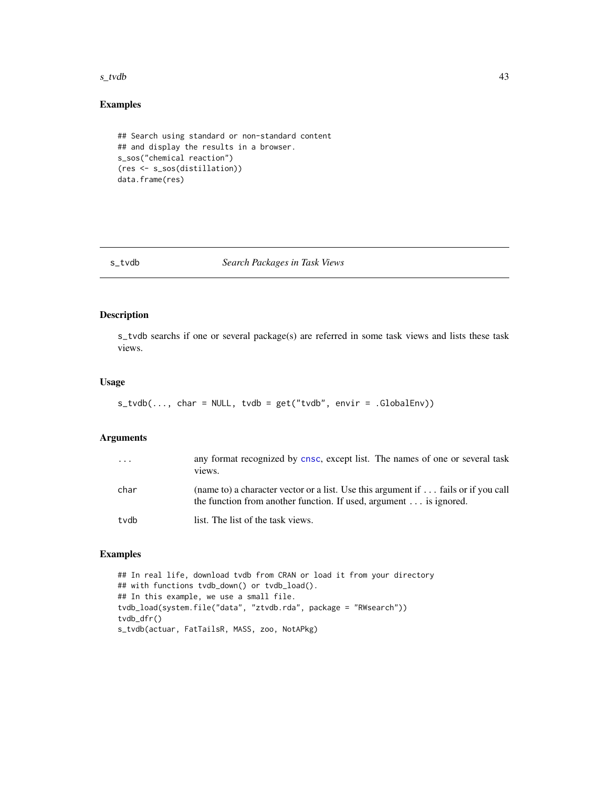#### <span id="page-42-0"></span> $s_t$ tvdb $\qquad \qquad \qquad \text{43}$

# Examples

```
## Search using standard or non-standard content
## and display the results in a browser.
s_sos("chemical reaction")
(res <- s_sos(distillation))
data.frame(res)
```
# s\_tvdb *Search Packages in Task Views*

# Description

s\_tvdb searchs if one or several package(s) are referred in some task views and lists these task views.

# Usage

```
s_t vdb(\ldots, char = NULL, tvdb = get("tvdb", envir = .GlobalEnv))
```
# Arguments

| $\cdot$ | any format recognized by cnsc, except list. The names of one or several task<br>views.                                                                          |
|---------|-----------------------------------------------------------------------------------------------------------------------------------------------------------------|
| char    | (name to) a character vector or a list. Use this argument if  fails or if you call<br>the function from another function. If used, argument $\dots$ is ignored. |
| tvdb    | list. The list of the task views.                                                                                                                               |

# Examples

```
## In real life, download tvdb from CRAN or load it from your directory
## with functions tvdb_down() or tvdb_load().
## In this example, we use a small file.
tvdb_load(system.file("data", "ztvdb.rda", package = "RWsearch"))
tvdb_dfr()
s_tvdb(actuar, FatTailsR, MASS, zoo, NotAPkg)
```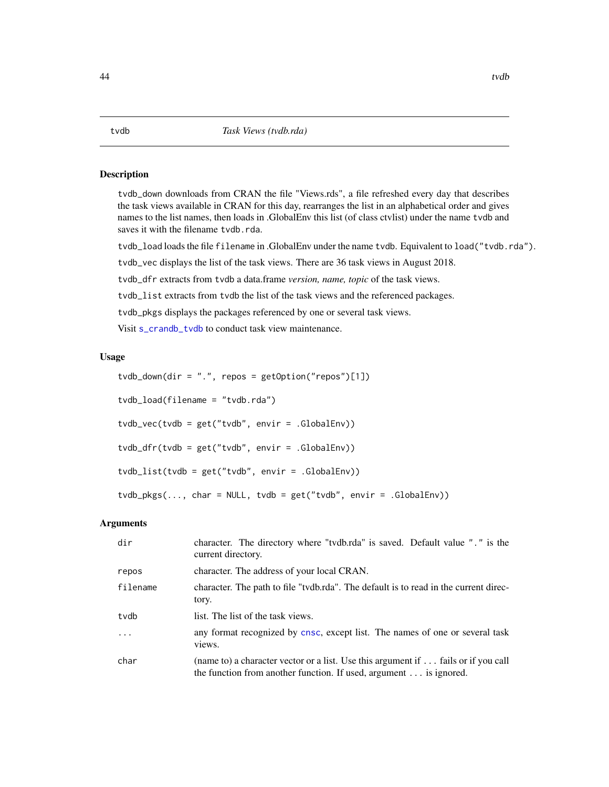# <span id="page-43-0"></span>Description

tvdb\_down downloads from CRAN the file "Views.rds", a file refreshed every day that describes the task views available in CRAN for this day, rearranges the list in an alphabetical order and gives names to the list names, then loads in .GlobalEnv this list (of class ctvlist) under the name tvdb and saves it with the filename tvdb.rda.

tvdb\_load loads the file filename in .GlobalEnv under the name tvdb. Equivalent to load("tvdb.rda").

tvdb\_vec displays the list of the task views. There are 36 task views in August 2018.

tvdb\_dfr extracts from tvdb a data.frame *version, name, topic* of the task views.

tvdb\_list extracts from tvdb the list of the task views and the referenced packages.

tvdb\_pkgs displays the packages referenced by one or several task views.

Visit [s\\_crandb\\_tvdb](#page-39-1) to conduct task view maintenance.

#### Usage

tvdb\_down(dir = ".", repos = getOption("repos")[1]) tvdb\_load(filename = "tvdb.rda") tvdb\_vec(tvdb = get("tvdb", envir = .GlobalEnv)) tvdb\_dfr(tvdb = get("tvdb", envir = .GlobalEnv)) tvdb\_list(tvdb = get("tvdb", envir = .GlobalEnv)) tvdb\_pkgs(..., char = NULL, tvdb = get("tvdb", envir = .GlobalEnv))

#### Arguments

| dir      | character. The directory where "tydb.rda" is saved. Default value "." is the<br>current directory.                                                                     |
|----------|------------------------------------------------------------------------------------------------------------------------------------------------------------------------|
| repos    | character. The address of your local CRAN.                                                                                                                             |
| filename | character. The path to file "tydb.rda". The default is to read in the current direc-<br>tory.                                                                          |
| tvdb     | list. The list of the task views.                                                                                                                                      |
| .        | any format recognized by cnsc, except list. The names of one or several task<br>views.                                                                                 |
| char     | (name to) a character vector or a list. Use this argument if $\dots$ fails or if you call<br>the function from another function. If used, argument $\dots$ is ignored. |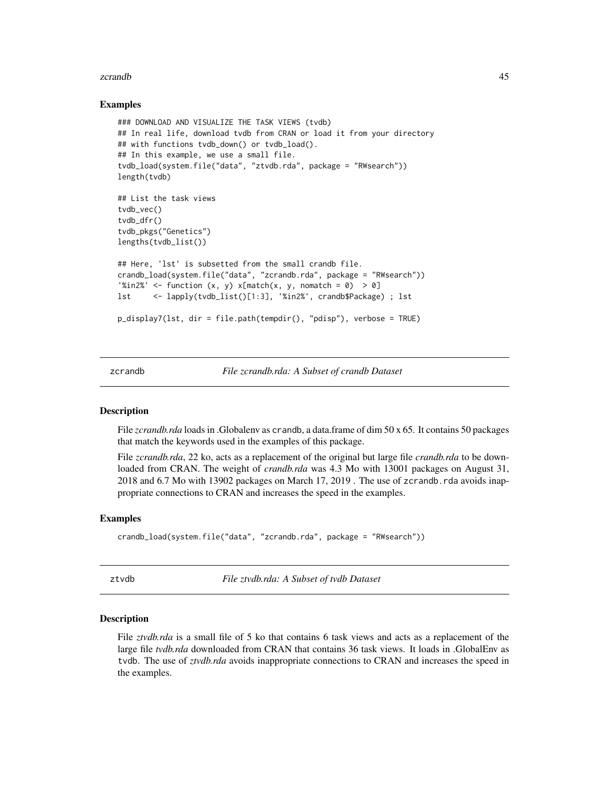#### <span id="page-44-0"></span>zcrandb 45

#### Examples

```
### DOWNLOAD AND VISUALIZE THE TASK VIEWS (tvdb)
## In real life, download tvdb from CRAN or load it from your directory
## with functions tvdb_down() or tvdb_load().
## In this example, we use a small file.
tvdb_load(system.file("data", "ztvdb.rda", package = "RWsearch"))
length(tvdb)
## List the task views
tvdb_vec()
tvdb_dfr()
tvdb_pkgs("Genetics")
lengths(tvdb_list())
## Here, 'lst' is subsetted from the small crandb file.
crandb_load(system.file("data", "zcrandb.rda", package = "RWsearch"))
'%in2%' <- function (x, y) x[match(x, y, nomatch = 0) > 0]
lst <- lapply(tvdb_list()[1:3], '%in2%', crandb$Package) ; lst
p_display7(lst, dir = file.path(tempdir(), "pdisp"), verbose = TRUE)
```
zcrandb *File zcrandb.rda: A Subset of crandb Dataset*

#### **Description**

File *zcrandb.rda* loads in .Globalenv as crandb, a data.frame of dim 50 x 65. It contains 50 packages that match the keywords used in the examples of this package.

File *zcrandb.rda*, 22 ko, acts as a replacement of the original but large file *crandb.rda* to be downloaded from CRAN. The weight of *crandb.rda* was 4.3 Mo with 13001 packages on August 31, 2018 and 6.7 Mo with 13902 packages on March 17, 2019 . The use of zcrandb.rda avoids inappropriate connections to CRAN and increases the speed in the examples.

#### Examples

```
crandb_load(system.file("data", "zcrandb.rda", package = "RWsearch"))
```
ztvdb *File ztvdb.rda: A Subset of tvdb Dataset*

#### Description

File *ztvdb.rda* is a small file of 5 ko that contains 6 task views and acts as a replacement of the large file *tvdb.rda* downloaded from CRAN that contains 36 task views. It loads in .GlobalEnv as tvdb. The use of *ztvdb.rda* avoids inappropriate connections to CRAN and increases the speed in the examples.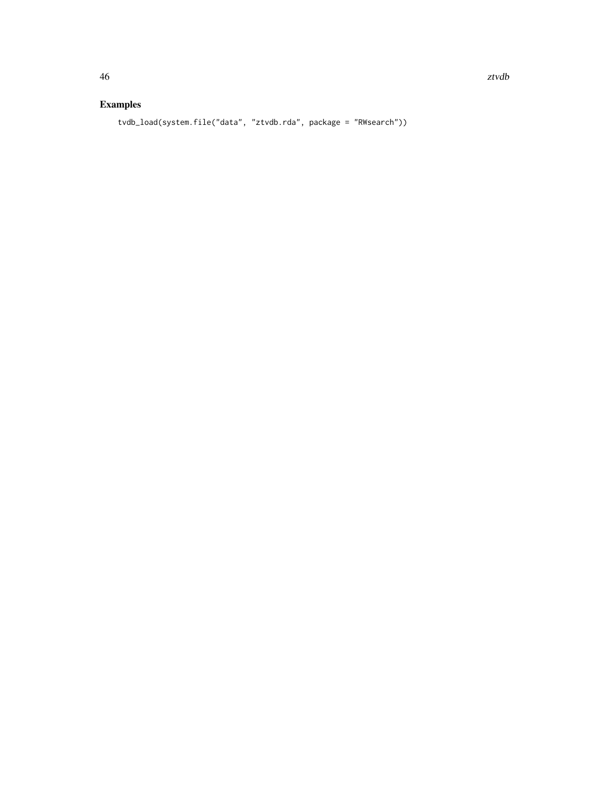# Examples

tvdb\_load(system.file("data", "ztvdb.rda", package = "RWsearch"))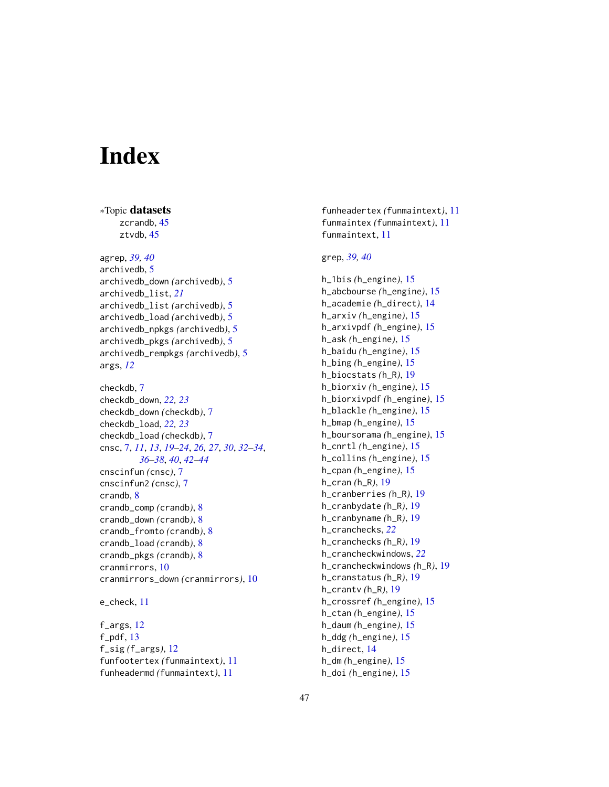# <span id="page-46-0"></span>**Index**

∗Topic datasets

zcrandb, [45](#page-44-0) ztvdb, [45](#page-44-0) agrep, *[39,](#page-38-0) [40](#page-39-0)* archivedb, [5](#page-4-0) archivedb\_down *(*archivedb*)*, [5](#page-4-0) archivedb\_list, *[21](#page-20-0)* archivedb\_list *(*archivedb*)*, [5](#page-4-0) archivedb\_load *(*archivedb*)*, [5](#page-4-0) archivedb\_npkgs *(*archivedb*)*, [5](#page-4-0) archivedb\_pkgs *(*archivedb*)*, [5](#page-4-0) archivedb\_rempkgs *(*archivedb*)*, [5](#page-4-0) args, *[12](#page-11-0)* checkdb, [7](#page-6-0) checkdb\_down, *[22,](#page-21-0) [23](#page-22-0)* checkdb\_down *(*checkdb*)*, [7](#page-6-0) checkdb\_load, *[22,](#page-21-0) [23](#page-22-0)* checkdb\_load *(*checkdb*)*, [7](#page-6-0) cnsc, [7,](#page-6-0) *[11](#page-10-0)*, *[13](#page-12-0)*, *[19](#page-18-0)[–24](#page-23-0)*, *[26,](#page-25-0) [27](#page-26-0)*, *[30](#page-29-0)*, *[32–](#page-31-0)[34](#page-33-0)*, *[36](#page-35-0)[–38](#page-37-0)*, *[40](#page-39-0)*, *[42–](#page-41-0)[44](#page-43-0)* cnscinfun *(*cnsc*)*, [7](#page-6-0) cnscinfun2 *(*cnsc*)*, [7](#page-6-0) crandb, [8](#page-7-0) crandb\_comp *(*crandb*)*, [8](#page-7-0) crandb\_down *(*crandb*)*, [8](#page-7-0) crandb\_fromto *(*crandb*)*, [8](#page-7-0) crandb\_load *(*crandb*)*, [8](#page-7-0) crandb\_pkgs *(*crandb*)*, [8](#page-7-0) cranmirrors, [10](#page-9-0) cranmirrors\_down *(*cranmirrors*)*, [10](#page-9-0) e\_check, [11](#page-10-0)

f\_args, [12](#page-11-0)  $f$ <sub>-pdf</sub>, [13](#page-12-0) f\_sig *(*f\_args*)*, [12](#page-11-0) funfootertex *(*funmaintext*)*, [11](#page-10-0) funheadermd *(*funmaintext*)*, [11](#page-10-0)

funheadertex *(*funmaintext*)*, [11](#page-10-0) funmaintex *(*funmaintext*)*, [11](#page-10-0) funmaintext, [11](#page-10-0)

# grep, *[39,](#page-38-0) [40](#page-39-0)*

h\_1bis *(*h\_engine*)*, [15](#page-14-0) h\_abcbourse *(*h\_engine*)*, [15](#page-14-0) h\_academie *(*h\_direct*)*, [14](#page-13-0) h\_arxiv *(*h\_engine*)*, [15](#page-14-0) h\_arxivpdf *(*h\_engine*)*, [15](#page-14-0) h\_ask *(*h\_engine*)*, [15](#page-14-0) h\_baidu *(*h\_engine*)*, [15](#page-14-0) h\_bing *(*h\_engine*)*, [15](#page-14-0) h\_biocstats *(*h\_R*)*, [19](#page-18-0) h\_biorxiv *(*h\_engine*)*, [15](#page-14-0) h\_biorxivpdf *(*h\_engine*)*, [15](#page-14-0) h\_blackle *(*h\_engine*)*, [15](#page-14-0) h\_bmap *(*h\_engine*)*, [15](#page-14-0) h\_boursorama *(*h\_engine*)*, [15](#page-14-0) h\_cnrtl *(*h\_engine*)*, [15](#page-14-0) h\_collins *(*h\_engine*)*, [15](#page-14-0) h\_cpan *(*h\_engine*)*, [15](#page-14-0) h\_cran *(*h\_R*)*, [19](#page-18-0) h\_cranberries *(*h\_R*)*, [19](#page-18-0) h\_cranbydate *(*h\_R*)*, [19](#page-18-0) h\_cranbyname *(*h\_R*)*, [19](#page-18-0) h\_cranchecks, *[22](#page-21-0)* h\_cranchecks *(*h\_R*)*, [19](#page-18-0) h\_crancheckwindows, *[22](#page-21-0)* h\_crancheckwindows *(*h\_R*)*, [19](#page-18-0) h\_cranstatus *(*h\_R*)*, [19](#page-18-0) h\_crantv *(*h\_R*)*, [19](#page-18-0) h\_crossref *(*h\_engine*)*, [15](#page-14-0) h\_ctan *(*h\_engine*)*, [15](#page-14-0) h\_daum *(*h\_engine*)*, [15](#page-14-0) h\_ddg *(*h\_engine*)*, [15](#page-14-0) h\_direct, [14](#page-13-0) h\_dm *(*h\_engine*)*, [15](#page-14-0) h\_doi *(*h\_engine*)*, [15](#page-14-0)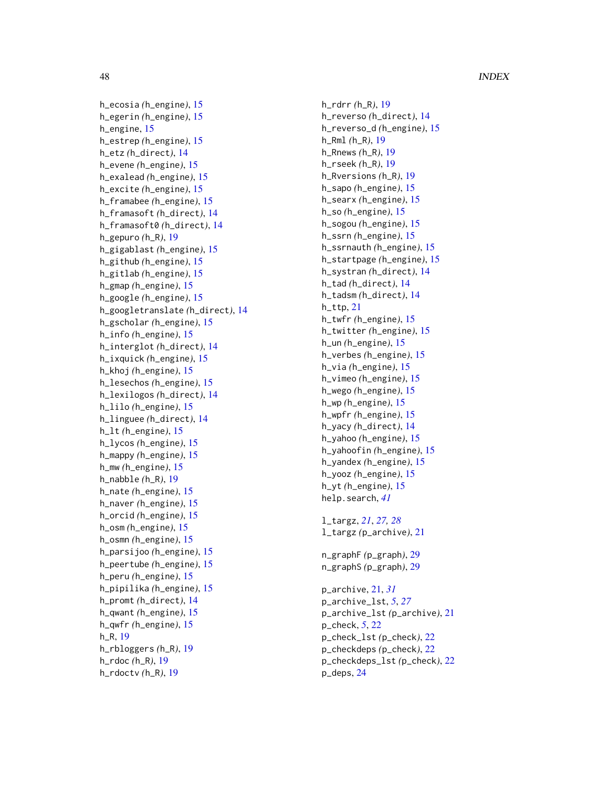48 INDEX

h\_ecosia *(*h\_engine *)* , [15](#page-14-0) h\_egerin *(*h\_engine *)* , [15](#page-14-0) h\_engine, [15](#page-14-0) h\_estrep *(*h\_engine *)* , [15](#page-14-0) h\_etz *(*h\_direct *)* , [14](#page-13-0) h\_evene *(*h\_engine *)* , [15](#page-14-0) h\_exalead *(*h\_engine *)* , [15](#page-14-0) h\_excite *(*h\_engine *)* , [15](#page-14-0) h\_framabee *(*h\_engine *)* , [15](#page-14-0) h\_framasoft *(*h\_direct *)* , [14](#page-13-0) h\_framasoft0 *(*h\_direct *)* , [14](#page-13-0) h\_gepuro *(*h\_R *)* , [19](#page-18-0) h\_gigablast *(*h\_engine *)* , [15](#page-14-0) h\_github *(*h\_engine *)* , [15](#page-14-0) h\_gitlab *(*h\_engine *)* , [15](#page-14-0) h\_gmap *(*h\_engine *)* , [15](#page-14-0) h\_google *(*h\_engine *)* , [15](#page-14-0) h\_googletranslate *(*h\_direct *)* , [14](#page-13-0) h\_gscholar *(*h\_engine *)* , [15](#page-14-0) h\_info *(*h\_engine *)* , [15](#page-14-0) h\_interglot *(*h\_direct *)* , [14](#page-13-0) h\_ixquick *(*h\_engine *)* , [15](#page-14-0) h\_khoj *(*h\_engine *)* , [15](#page-14-0) h\_lesechos *(*h\_engine *)* , [15](#page-14-0) h\_lexilogos *(*h\_direct *)* , [14](#page-13-0) h\_lilo *(*h\_engine *)* , [15](#page-14-0) h\_linguee *(*h\_direct *)* , [14](#page-13-0) h\_lt *(*h\_engine *)* , [15](#page-14-0) h\_lycos *(*h\_engine *)* , [15](#page-14-0) h\_mappy *(*h\_engine *)* , [15](#page-14-0) h\_mw *(*h\_engine *)* , [15](#page-14-0) h\_nabble *(*h\_R *)* , [19](#page-18-0) h\_nate *(*h\_engine *)* , [15](#page-14-0) h\_naver *(*h\_engine *)* , [15](#page-14-0) h\_orcid *(*h\_engine *)* , [15](#page-14-0) h\_osm *(*h\_engine *)* , [15](#page-14-0) h\_osmn *(*h\_engine *)* , [15](#page-14-0) h\_parsijoo *(*h\_engine *)* , [15](#page-14-0) h\_peertube *(*h\_engine *)* , [15](#page-14-0) h\_peru *(*h\_engine *)* , [15](#page-14-0) h\_pipilika *(*h\_engine *)* , [15](#page-14-0) h\_promt *(*h\_direct *)* , [14](#page-13-0) h\_qwant *(*h\_engine *)* , [15](#page-14-0) h\_qwfr *(*h\_engine *)* , [15](#page-14-0) h\_R , [19](#page-18-0) h\_rbloggers *(*h\_R *)* , [19](#page-18-0)

h\_rdoc *(*h\_R *)* , [19](#page-18-0) h\_rdoctv *(*h\_R *)* , [19](#page-18-0) h\_reverso *(*h\_direct *)* , [14](#page-13-0) h\_reverso\_d *(*h\_engine *)* , [15](#page-14-0) h\_Rml *(*h\_R *)* , [19](#page-18-0) h\_Rnews *(*h\_R *)* , [19](#page-18-0) h\_rseek *(*h\_R *)* , [19](#page-18-0) h\_Rversions *(*h\_R *)* , [19](#page-18-0) h\_sapo *(*h\_engine *)* , [15](#page-14-0) h\_searx *(*h\_engine *)* , [15](#page-14-0) h\_so *(*h\_engine *)* , [15](#page-14-0) h\_sogou *(*h\_engine *)* , [15](#page-14-0) h\_ssrn *(*h\_engine *)* , [15](#page-14-0) h\_ssrnauth *(*h\_engine *)* , [15](#page-14-0) h\_startpage *(*h\_engine *)* , [15](#page-14-0) h\_systran *(*h\_direct *)* , [14](#page-13-0) h\_tad *(*h\_direct *)* , [14](#page-13-0) h\_tadsm *(*h\_direct *)* , [14](#page-13-0) h\_ttp , [21](#page-20-0) h\_twfr *(*h\_engine *)* , [15](#page-14-0) h\_twitter *(*h\_engine *)* , [15](#page-14-0) h\_un *(*h\_engine *)* , [15](#page-14-0) h\_verbes *(*h\_engine *)* , [15](#page-14-0) h\_via *(*h\_engine *)* , [15](#page-14-0) h\_vimeo *(*h\_engine *)* , [15](#page-14-0) h\_wego *(*h\_engine *)* , [15](#page-14-0) h\_wp *(*h\_engine *)* , [15](#page-14-0) h\_wpfr *(*h\_engine *)* , [15](#page-14-0) h\_yacy *(*h\_direct *)* , [14](#page-13-0) h\_yahoo *(*h\_engine *)* , [15](#page-14-0) h\_yahoofin *(*h\_engine *)* , [15](#page-14-0) h\_yandex *(*h\_engine *)* , [15](#page-14-0) h\_yooz *(*h\_engine *)* , [15](#page-14-0) h\_yt *(*h\_engine *)* , [15](#page-14-0) help.search , *[41](#page-40-0)* l\_targz , *[21](#page-20-0)* , *[27,](#page-26-0) [28](#page-27-0)* l\_targz *(*p\_archive *)* , [21](#page-20-0) n\_graphF *(*p\_graph *)* , [29](#page-28-0) n\_graphS *(*p\_graph *)* , [29](#page-28-0)

h\_rdrr *(*h\_R *)* , [19](#page-18-0)

p\_archive , [21](#page-20-0) , *[31](#page-30-0)* p\_archive\_lst , *[5](#page-4-0)* , *[27](#page-26-0)* p\_archive\_lst *(*p\_archive *)* , [21](#page-20-0) p\_check , *[5](#page-4-0)* , [22](#page-21-0) p\_check\_lst *(*p\_check *)* , [22](#page-21-0) p\_checkdeps *(*p\_check *)* , [22](#page-21-0) p\_checkdeps\_lst *(*p\_check *)* , [22](#page-21-0) p\_deps , [24](#page-23-0)